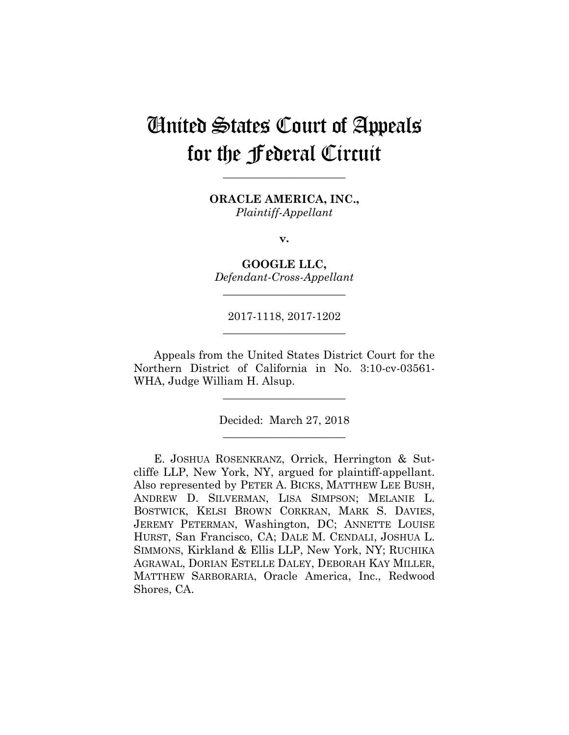# United States Court of Appeals for the Federal Circuit

**\_\_\_\_\_\_\_\_\_\_\_\_\_\_\_\_\_\_\_\_\_\_** 

**ORACLE AMERICA, INC.,** *Plaintiff-Appellant*

**v.**

**GOOGLE LLC,** *Defendant-Cross-Appellant*

**\_\_\_\_\_\_\_\_\_\_\_\_\_\_\_\_\_\_\_\_\_\_** 

2017-1118, 2017-1202 **\_\_\_\_\_\_\_\_\_\_\_\_\_\_\_\_\_\_\_\_\_\_** 

Appeals from the United States District Court for the Northern District of California in No. 3:10-cv-03561- WHA, Judge William H. Alsup.

> Decided: March 27, 2018 **\_\_\_\_\_\_\_\_\_\_\_\_\_\_\_\_\_\_\_\_\_\_**

**\_\_\_\_\_\_\_\_\_\_\_\_\_\_\_\_\_\_\_\_\_\_** 

E. JOSHUA ROSENKRANZ, Orrick, Herrington & Sutcliffe LLP, New York, NY, argued for plaintiff-appellant. Also represented by PETER A. BICKS, MATTHEW LEE BUSH, ANDREW D. SILVERMAN, LISA SIMPSON; MELANIE L. BOSTWICK, KELSI BROWN CORKRAN, MARK S. DAVIES, JEREMY PETERMAN, Washington, DC; ANNETTE LOUISE HURST, San Francisco, CA; DALE M. CENDALI, JOSHUA L. SIMMONS, Kirkland & Ellis LLP, New York, NY; RUCHIKA AGRAWAL, DORIAN ESTELLE DALEY, DEBORAH KAY MILLER, MATTHEW SARBORARIA, Oracle America, Inc., Redwood Shores, CA.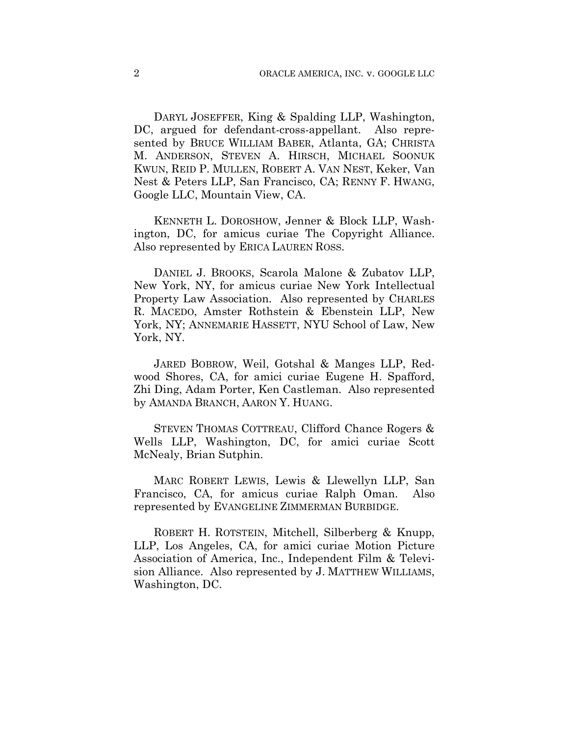DARYL JOSEFFER, King & Spalding LLP, Washington, DC, argued for defendant-cross-appellant. Also represented by BRUCE WILLIAM BABER, Atlanta, GA; CHRISTA M. ANDERSON, STEVEN A. HIRSCH, MICHAEL SOONUK KWUN, REID P. MULLEN, ROBERT A. VAN NEST, Keker, Van Nest & Peters LLP, San Francisco, CA; RENNY F. HWANG, Google LLC, Mountain View, CA.

 KENNETH L. DOROSHOW, Jenner & Block LLP, Washington, DC, for amicus curiae The Copyright Alliance. Also represented by ERICA LAUREN ROSS.

 DANIEL J. BROOKS, Scarola Malone & Zubatov LLP, New York, NY, for amicus curiae New York Intellectual Property Law Association. Also represented by CHARLES R. MACEDO, Amster Rothstein & Ebenstein LLP, New York, NY; ANNEMARIE HASSETT, NYU School of Law, New York, NY.

 JARED BOBROW, Weil, Gotshal & Manges LLP, Redwood Shores, CA, for amici curiae Eugene H. Spafford, Zhi Ding, Adam Porter, Ken Castleman. Also represented by AMANDA BRANCH, AARON Y. HUANG.

 STEVEN THOMAS COTTREAU, Clifford Chance Rogers & Wells LLP, Washington, DC, for amici curiae Scott McNealy, Brian Sutphin.

 MARC ROBERT LEWIS, Lewis & Llewellyn LLP, San Francisco, CA, for amicus curiae Ralph Oman. Also represented by EVANGELINE ZIMMERMAN BURBIDGE.

 ROBERT H. ROTSTEIN, Mitchell, Silberberg & Knupp, LLP, Los Angeles, CA, for amici curiae Motion Picture Association of America, Inc., Independent Film & Television Alliance. Also represented by J. MATTHEW WILLIAMS, Washington, DC.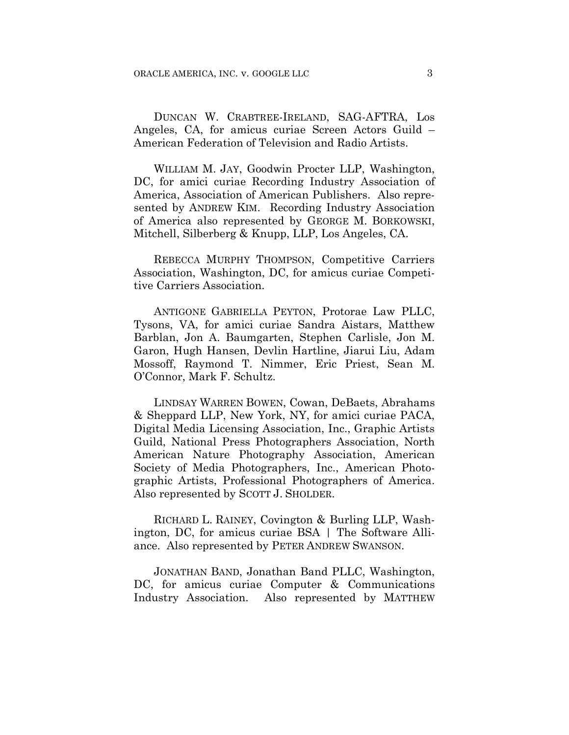DUNCAN W. CRABTREE-IRELAND, SAG-AFTRA, Los Angeles, CA, for amicus curiae Screen Actors Guild – American Federation of Television and Radio Artists.

 WILLIAM M. JAY, Goodwin Procter LLP, Washington, DC, for amici curiae Recording Industry Association of America, Association of American Publishers. Also represented by ANDREW KIM. Recording Industry Association of America also represented by GEORGE M. BORKOWSKI, Mitchell, Silberberg & Knupp, LLP, Los Angeles, CA.

 REBECCA MURPHY THOMPSON, Competitive Carriers Association, Washington, DC, for amicus curiae Competitive Carriers Association.

 ANTIGONE GABRIELLA PEYTON, Protorae Law PLLC, Tysons, VA, for amici curiae Sandra Aistars, Matthew Barblan, Jon A. Baumgarten, Stephen Carlisle, Jon M. Garon, Hugh Hansen, Devlin Hartline, Jiarui Liu, Adam Mossoff, Raymond T. Nimmer, Eric Priest, Sean M. O'Connor, Mark F. Schultz.

 LINDSAY WARREN BOWEN, Cowan, DeBaets, Abrahams & Sheppard LLP, New York, NY, for amici curiae PACA, Digital Media Licensing Association, Inc., Graphic Artists Guild, National Press Photographers Association, North American Nature Photography Association, American Society of Media Photographers, Inc., American Photographic Artists, Professional Photographers of America. Also represented by SCOTT J. SHOLDER.

 RICHARD L. RAINEY, Covington & Burling LLP, Washington, DC, for amicus curiae BSA | The Software Alliance. Also represented by PETER ANDREW SWANSON.

 JONATHAN BAND, Jonathan Band PLLC, Washington, DC, for amicus curiae Computer & Communications Industry Association. Also represented by MATTHEW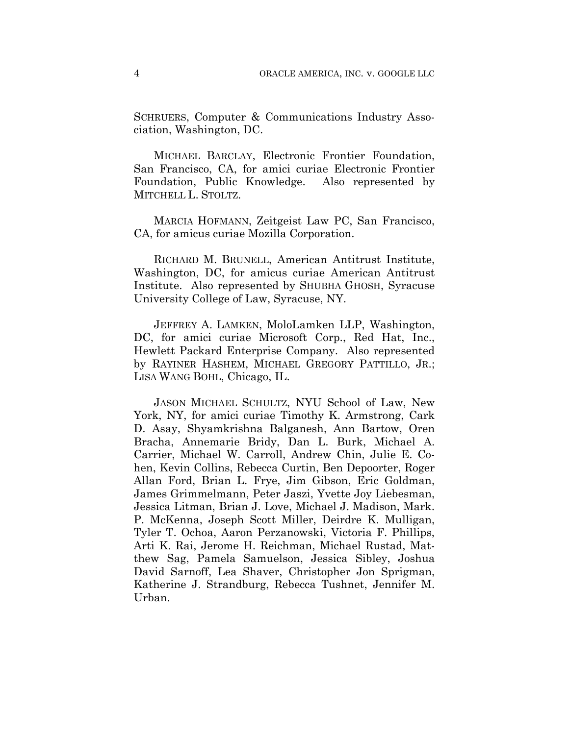SCHRUERS, Computer & Communications Industry Association, Washington, DC.

 MICHAEL BARCLAY, Electronic Frontier Foundation, San Francisco, CA, for amici curiae Electronic Frontier Foundation, Public Knowledge. Also represented by MITCHELL L. STOLTZ.

 MARCIA HOFMANN, Zeitgeist Law PC, San Francisco, CA, for amicus curiae Mozilla Corporation.

 RICHARD M. BRUNELL, American Antitrust Institute, Washington, DC, for amicus curiae American Antitrust Institute. Also represented by SHUBHA GHOSH, Syracuse University College of Law, Syracuse, NY.

 JEFFREY A. LAMKEN, MoloLamken LLP, Washington, DC, for amici curiae Microsoft Corp., Red Hat, Inc., Hewlett Packard Enterprise Company. Also represented by RAYINER HASHEM, MICHAEL GREGORY PATTILLO, JR.; LISA WANG BOHL, Chicago, IL.

 JASON MICHAEL SCHULTZ, NYU School of Law, New York, NY, for amici curiae Timothy K. Armstrong, Cark D. Asay, Shyamkrishna Balganesh, Ann Bartow, Oren Bracha, Annemarie Bridy, Dan L. Burk, Michael A. Carrier, Michael W. Carroll, Andrew Chin, Julie E. Cohen, Kevin Collins, Rebecca Curtin, Ben Depoorter, Roger Allan Ford, Brian L. Frye, Jim Gibson, Eric Goldman, James Grimmelmann, Peter Jaszi, Yvette Joy Liebesman, Jessica Litman, Brian J. Love, Michael J. Madison, Mark. P. McKenna, Joseph Scott Miller, Deirdre K. Mulligan, Tyler T. Ochoa, Aaron Perzanowski, Victoria F. Phillips, Arti K. Rai, Jerome H. Reichman, Michael Rustad, Matthew Sag, Pamela Samuelson, Jessica Sibley, Joshua David Sarnoff, Lea Shaver, Christopher Jon Sprigman, Katherine J. Strandburg, Rebecca Tushnet, Jennifer M. Urban.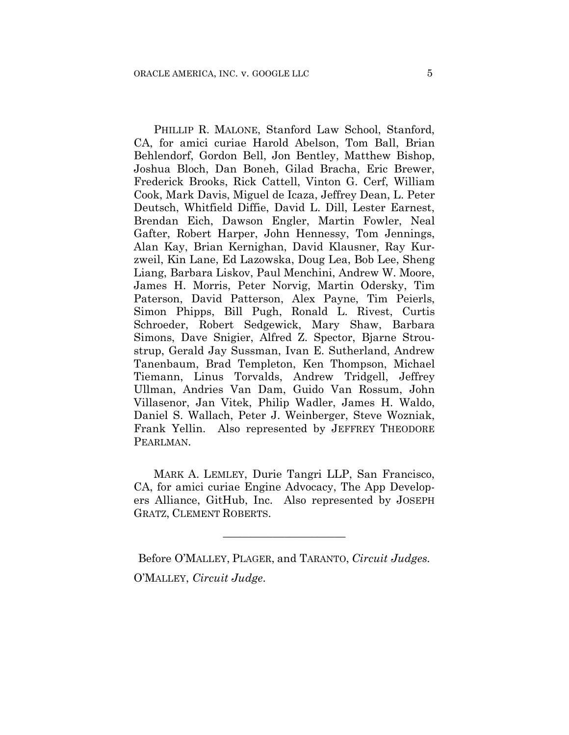PHILLIP R. MALONE, Stanford Law School, Stanford, CA, for amici curiae Harold Abelson, Tom Ball, Brian Behlendorf, Gordon Bell, Jon Bentley, Matthew Bishop, Joshua Bloch, Dan Boneh, Gilad Bracha, Eric Brewer, Frederick Brooks, Rick Cattell, Vinton G. Cerf, William Cook, Mark Davis, Miguel de Icaza, Jeffrey Dean, L. Peter Deutsch, Whitfield Diffie, David L. Dill, Lester Earnest, Brendan Eich, Dawson Engler, Martin Fowler, Neal Gafter, Robert Harper, John Hennessy, Tom Jennings, Alan Kay, Brian Kernighan, David Klausner, Ray Kurzweil, Kin Lane, Ed Lazowska, Doug Lea, Bob Lee, Sheng Liang, Barbara Liskov, Paul Menchini, Andrew W. Moore, James H. Morris, Peter Norvig, Martin Odersky, Tim Paterson, David Patterson, Alex Payne, Tim Peierls, Simon Phipps, Bill Pugh, Ronald L. Rivest, Curtis Schroeder, Robert Sedgewick, Mary Shaw, Barbara Simons, Dave Snigier, Alfred Z. Spector, Bjarne Stroustrup, Gerald Jay Sussman, Ivan E. Sutherland, Andrew Tanenbaum, Brad Templeton, Ken Thompson, Michael Tiemann, Linus Torvalds, Andrew Tridgell, Jeffrey Ullman, Andries Van Dam, Guido Van Rossum, John Villasenor, Jan Vitek, Philip Wadler, James H. Waldo, Daniel S. Wallach, Peter J. Weinberger, Steve Wozniak, Frank Yellin. Also represented by JEFFREY THEODORE PEARLMAN.

MARK A. LEMLEY, Durie Tangri LLP, San Francisco, CA, for amici curiae Engine Advocacy, The App Developers Alliance, GitHub, Inc. Also represented by JOSEPH GRATZ, CLEMENT ROBERTS.

**\_\_\_\_\_\_\_\_\_\_\_\_\_\_\_\_\_\_\_\_\_\_** 

Before O'MALLEY, PLAGER, and TARANTO, *Circuit Judges.* O'MALLEY, *Circuit Judge*.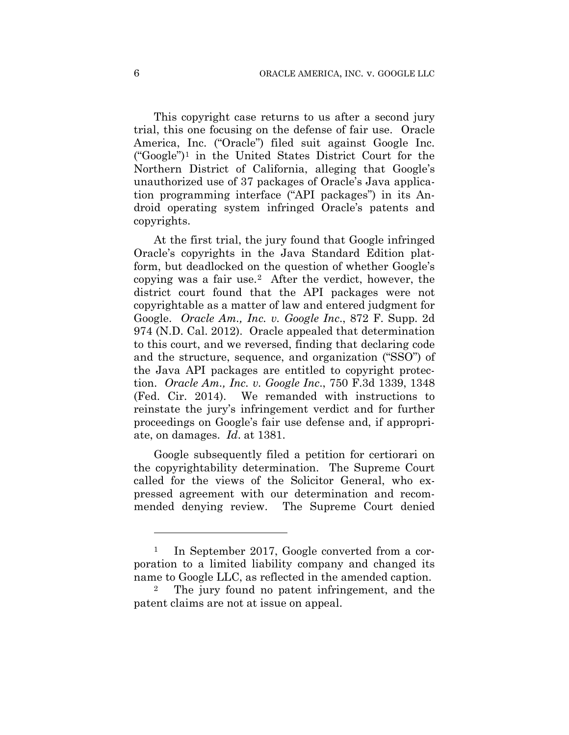This copyright case returns to us after a second jury trial, this one focusing on the defense of fair use. Oracle America, Inc. ("Oracle") filed suit against Google Inc. ("Google")1 in the United States District Court for the Northern District of California, alleging that Google's unauthorized use of 37 packages of Oracle's Java application programming interface ("API packages") in its Android operating system infringed Oracle's patents and copyrights.

At the first trial, the jury found that Google infringed Oracle's copyrights in the Java Standard Edition platform, but deadlocked on the question of whether Google's copying was a fair use.2 After the verdict, however, the district court found that the API packages were not copyrightable as a matter of law and entered judgment for Google. *Oracle Am., Inc. v. Google Inc*., 872 F. Supp. 2d 974 (N.D. Cal. 2012). Oracle appealed that determination to this court, and we reversed, finding that declaring code and the structure, sequence, and organization ("SSO") of the Java API packages are entitled to copyright protection. *Oracle Am., Inc. v. Google Inc*., 750 F.3d 1339, 1348 (Fed. Cir. 2014). We remanded with instructions to reinstate the jury's infringement verdict and for further proceedings on Google's fair use defense and, if appropriate, on damages. *Id*. at 1381.

Google subsequently filed a petition for certiorari on the copyrightability determination. The Supreme Court called for the views of the Solicitor General, who expressed agreement with our determination and recommended denying review. The Supreme Court denied

1

<sup>&</sup>lt;sup>1</sup> In September 2017, Google converted from a corporation to a limited liability company and changed its name to Google LLC, as reflected in the amended caption.

<sup>2</sup> The jury found no patent infringement, and the patent claims are not at issue on appeal.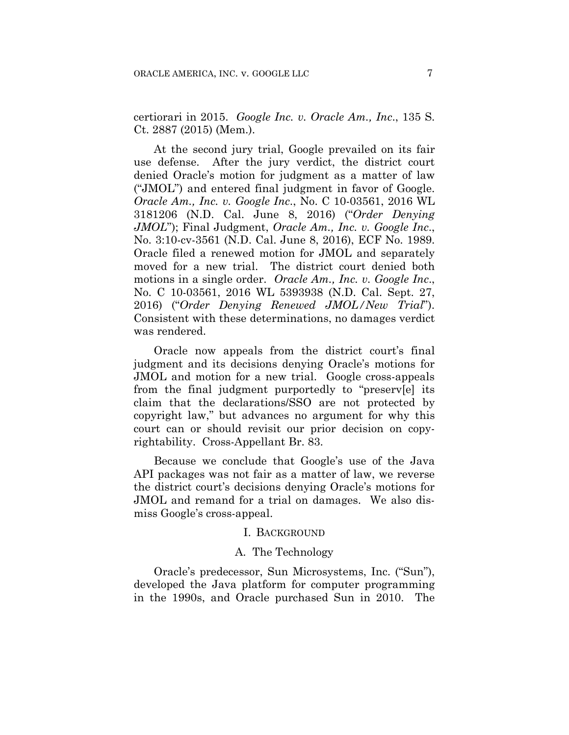certiorari in 2015. *Google Inc. v. Oracle Am., Inc*., 135 S. Ct. 2887 (2015) (Mem.).

At the second jury trial, Google prevailed on its fair use defense. After the jury verdict, the district court denied Oracle's motion for judgment as a matter of law ("JMOL") and entered final judgment in favor of Google. *Oracle Am., Inc. v. Google Inc*., No. C 10-03561, 2016 WL 3181206 (N.D. Cal. June 8, 2016) ("*Order Denying JMOL*"); Final Judgment, *Oracle Am., Inc. v. Google Inc*., No. 3:10-cv-3561 (N.D. Cal. June 8, 2016), ECF No. 1989. Oracle filed a renewed motion for JMOL and separately moved for a new trial. The district court denied both motions in a single order. *Oracle Am., Inc. v. Google Inc*., No. C 10-03561, 2016 WL 5393938 (N.D. Cal. Sept. 27, 2016) ("*Order Denying Renewed JMOL/New Trial*"). Consistent with these determinations, no damages verdict was rendered.

Oracle now appeals from the district court's final judgment and its decisions denying Oracle's motions for JMOL and motion for a new trial. Google cross-appeals from the final judgment purportedly to "preserv[e] its claim that the declarations/SSO are not protected by copyright law," but advances no argument for why this court can or should revisit our prior decision on copyrightability. Cross-Appellant Br. 83.

Because we conclude that Google's use of the Java API packages was not fair as a matter of law, we reverse the district court's decisions denying Oracle's motions for JMOL and remand for a trial on damages. We also dismiss Google's cross-appeal.

#### I. BACKGROUND

# A. The Technology

Oracle's predecessor, Sun Microsystems, Inc. ("Sun"), developed the Java platform for computer programming in the 1990s, and Oracle purchased Sun in 2010. The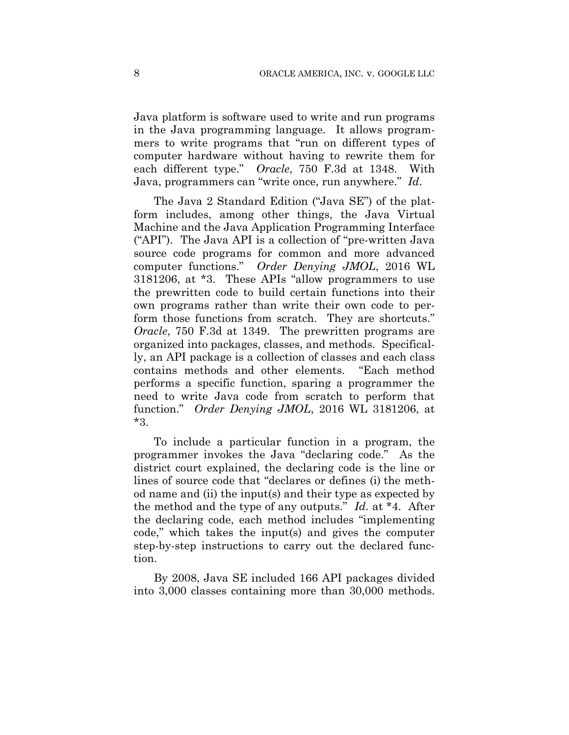Java platform is software used to write and run programs in the Java programming language. It allows programmers to write programs that "run on different types of computer hardware without having to rewrite them for each different type." *Oracle*, 750 F.3d at 1348. With Java, programmers can "write once, run anywhere." *Id*.

The Java 2 Standard Edition ("Java SE") of the platform includes, among other things, the Java Virtual Machine and the Java Application Programming Interface ("API"). The Java API is a collection of "pre-written Java source code programs for common and more advanced computer functions." *Order Denying JMOL*, 2016 WL 3181206, at \*3. These APIs "allow programmers to use the prewritten code to build certain functions into their own programs rather than write their own code to perform those functions from scratch. They are shortcuts." *Oracle*, 750 F.3d at 1349. The prewritten programs are organized into packages, classes, and methods. Specifically, an API package is a collection of classes and each class contains methods and other elements. "Each method performs a specific function, sparing a programmer the need to write Java code from scratch to perform that function." *Order Denying JMOL*, 2016 WL 3181206, at \*3.

To include a particular function in a program, the programmer invokes the Java "declaring code." As the district court explained, the declaring code is the line or lines of source code that "declares or defines (i) the method name and (ii) the input(s) and their type as expected by the method and the type of any outputs." *Id*. at \*4. After the declaring code, each method includes "implementing code," which takes the input(s) and gives the computer step-by-step instructions to carry out the declared function.

By 2008, Java SE included 166 API packages divided into 3,000 classes containing more than 30,000 methods.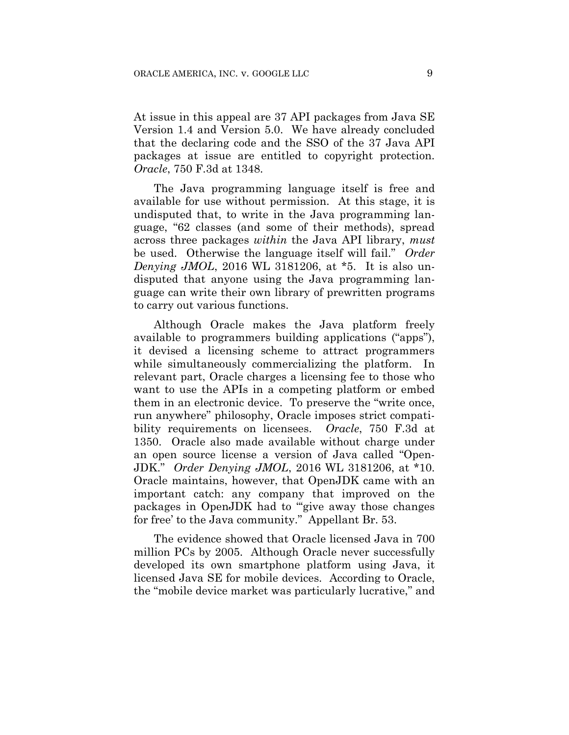At issue in this appeal are 37 API packages from Java SE Version 1.4 and Version 5.0. We have already concluded that the declaring code and the SSO of the 37 Java API packages at issue are entitled to copyright protection. *Oracle*, 750 F.3d at 1348.

The Java programming language itself is free and available for use without permission. At this stage, it is undisputed that, to write in the Java programming language, "62 classes (and some of their methods), spread across three packages *within* the Java API library, *must* be used. Otherwise the language itself will fail." *Order Denying JMOL*, 2016 WL 3181206, at \*5. It is also undisputed that anyone using the Java programming language can write their own library of prewritten programs to carry out various functions.

Although Oracle makes the Java platform freely available to programmers building applications ("apps"), it devised a licensing scheme to attract programmers while simultaneously commercializing the platform. In relevant part, Oracle charges a licensing fee to those who want to use the APIs in a competing platform or embed them in an electronic device. To preserve the "write once, run anywhere" philosophy, Oracle imposes strict compatibility requirements on licensees. *Oracle*, 750 F.3d at 1350. Oracle also made available without charge under an open source license a version of Java called "Open-JDK." *Order Denying JMOL*, 2016 WL 3181206, at \*10. Oracle maintains, however, that OpenJDK came with an important catch: any company that improved on the packages in OpenJDK had to "'give away those changes for free' to the Java community." Appellant Br. 53.

The evidence showed that Oracle licensed Java in 700 million PCs by 2005. Although Oracle never successfully developed its own smartphone platform using Java, it licensed Java SE for mobile devices. According to Oracle, the "mobile device market was particularly lucrative," and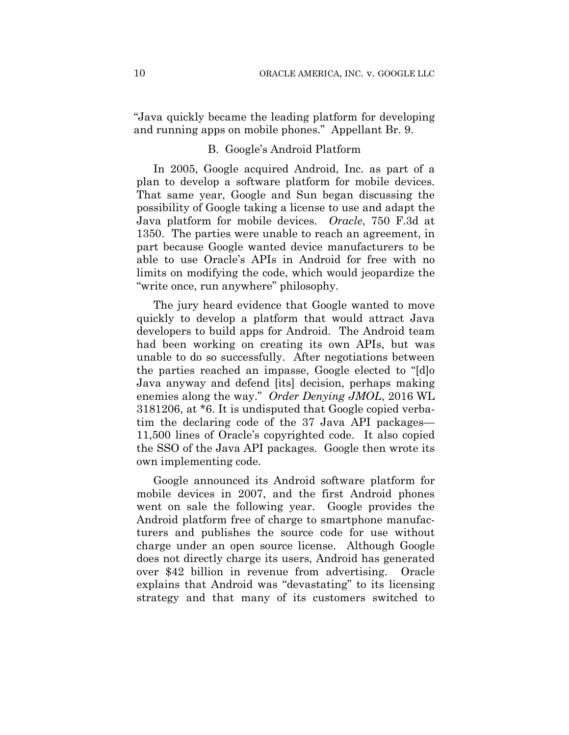"Java quickly became the leading platform for developing and running apps on mobile phones." Appellant Br. 9.

#### B. Google's Android Platform

In 2005, Google acquired Android, Inc. as part of a plan to develop a software platform for mobile devices. That same year, Google and Sun began discussing the possibility of Google taking a license to use and adapt the Java platform for mobile devices. *Oracle*, 750 F.3d at 1350. The parties were unable to reach an agreement, in part because Google wanted device manufacturers to be able to use Oracle's APIs in Android for free with no limits on modifying the code, which would jeopardize the "write once, run anywhere" philosophy.

The jury heard evidence that Google wanted to move quickly to develop a platform that would attract Java developers to build apps for Android. The Android team had been working on creating its own APIs, but was unable to do so successfully. After negotiations between the parties reached an impasse, Google elected to "[d]o Java anyway and defend [its] decision, perhaps making enemies along the way." *Order Denying JMOL*, 2016 WL 3181206, at \*6. It is undisputed that Google copied verbatim the declaring code of the 37 Java API packages— 11,500 lines of Oracle's copyrighted code. It also copied the SSO of the Java API packages. Google then wrote its own implementing code.

Google announced its Android software platform for mobile devices in 2007, and the first Android phones went on sale the following year. Google provides the Android platform free of charge to smartphone manufacturers and publishes the source code for use without charge under an open source license. Although Google does not directly charge its users, Android has generated over \$42 billion in revenue from advertising. Oracle explains that Android was "devastating" to its licensing strategy and that many of its customers switched to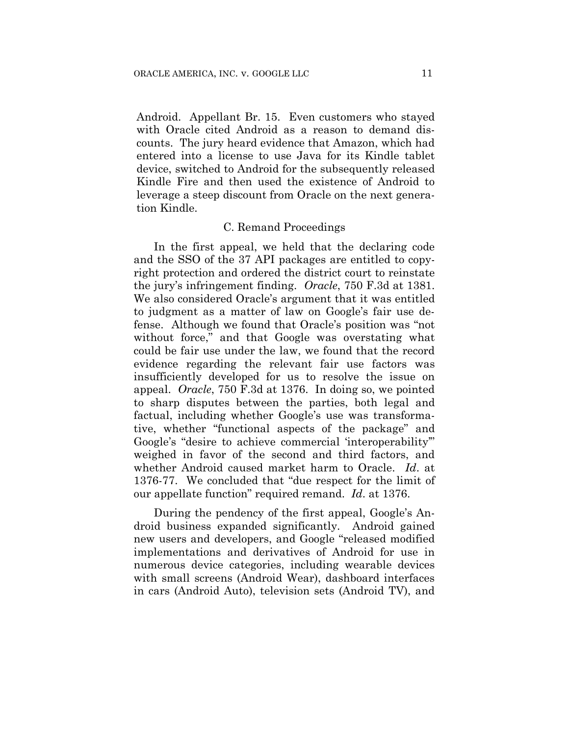Android. Appellant Br. 15. Even customers who stayed with Oracle cited Android as a reason to demand discounts. The jury heard evidence that Amazon, which had entered into a license to use Java for its Kindle tablet device, switched to Android for the subsequently released Kindle Fire and then used the existence of Android to leverage a steep discount from Oracle on the next generation Kindle.

#### C. Remand Proceedings

In the first appeal, we held that the declaring code and the SSO of the 37 API packages are entitled to copyright protection and ordered the district court to reinstate the jury's infringement finding. *Oracle*, 750 F.3d at 1381. We also considered Oracle's argument that it was entitled to judgment as a matter of law on Google's fair use defense. Although we found that Oracle's position was "not without force," and that Google was overstating what could be fair use under the law, we found that the record evidence regarding the relevant fair use factors was insufficiently developed for us to resolve the issue on appeal. *Oracle*, 750 F.3d at 1376. In doing so, we pointed to sharp disputes between the parties, both legal and factual, including whether Google's use was transformative, whether "functional aspects of the package" and Google's "desire to achieve commercial 'interoperability'" weighed in favor of the second and third factors, and whether Android caused market harm to Oracle. *Id*. at 1376-77. We concluded that "due respect for the limit of our appellate function" required remand. *Id*. at 1376.

During the pendency of the first appeal, Google's Android business expanded significantly. Android gained new users and developers, and Google "released modified implementations and derivatives of Android for use in numerous device categories, including wearable devices with small screens (Android Wear), dashboard interfaces in cars (Android Auto), television sets (Android TV), and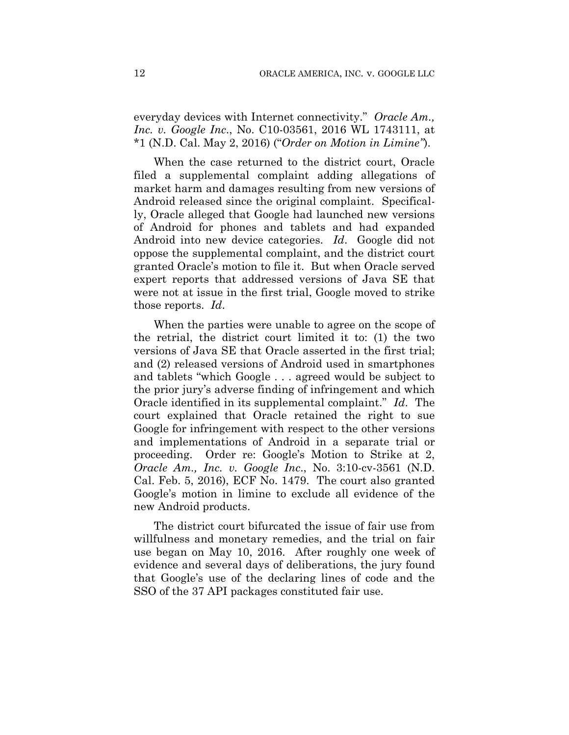everyday devices with Internet connectivity." *Oracle Am., Inc. v. Google Inc*., No. C10-03561, 2016 WL 1743111, at \*1 (N.D. Cal. May 2, 2016) ("*Order on Motion in Limine"*).

When the case returned to the district court, Oracle filed a supplemental complaint adding allegations of market harm and damages resulting from new versions of Android released since the original complaint. Specifically, Oracle alleged that Google had launched new versions of Android for phones and tablets and had expanded Android into new device categories. *Id*. Google did not oppose the supplemental complaint, and the district court granted Oracle's motion to file it. But when Oracle served expert reports that addressed versions of Java SE that were not at issue in the first trial, Google moved to strike those reports. *Id*.

When the parties were unable to agree on the scope of the retrial, the district court limited it to: (1) the two versions of Java SE that Oracle asserted in the first trial; and (2) released versions of Android used in smartphones and tablets "which Google . . . agreed would be subject to the prior jury's adverse finding of infringement and which Oracle identified in its supplemental complaint." *Id*. The court explained that Oracle retained the right to sue Google for infringement with respect to the other versions and implementations of Android in a separate trial or proceeding. Order re: Google's Motion to Strike at 2, *Oracle Am., Inc. v. Google Inc*., No. 3:10-cv-3561 (N.D. Cal. Feb. 5, 2016), ECF No. 1479. The court also granted Google's motion in limine to exclude all evidence of the new Android products.

The district court bifurcated the issue of fair use from willfulness and monetary remedies, and the trial on fair use began on May 10, 2016. After roughly one week of evidence and several days of deliberations, the jury found that Google's use of the declaring lines of code and the SSO of the 37 API packages constituted fair use.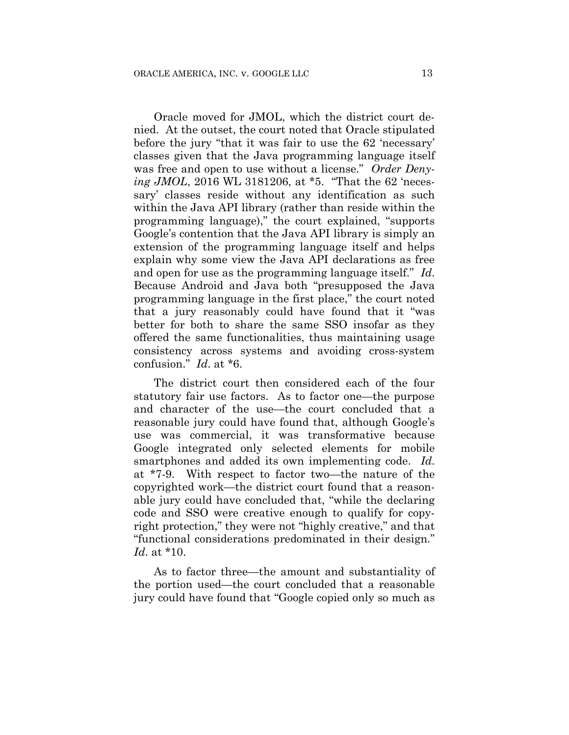Oracle moved for JMOL, which the district court denied. At the outset, the court noted that Oracle stipulated before the jury "that it was fair to use the 62 'necessary' classes given that the Java programming language itself was free and open to use without a license." *Order Denying JMOL*, 2016 WL 3181206, at \*5. "That the 62 'necessary' classes reside without any identification as such within the Java API library (rather than reside within the programming language)," the court explained, "supports Google's contention that the Java API library is simply an extension of the programming language itself and helps explain why some view the Java API declarations as free and open for use as the programming language itself." *Id*. Because Android and Java both "presupposed the Java programming language in the first place," the court noted that a jury reasonably could have found that it "was better for both to share the same SSO insofar as they offered the same functionalities, thus maintaining usage consistency across systems and avoiding cross-system confusion." *Id*. at \*6.

The district court then considered each of the four statutory fair use factors. As to factor one—the purpose and character of the use—the court concluded that a reasonable jury could have found that, although Google's use was commercial, it was transformative because Google integrated only selected elements for mobile smartphones and added its own implementing code. *Id*. at \*7-9. With respect to factor two—the nature of the copyrighted work—the district court found that a reasonable jury could have concluded that, "while the declaring code and SSO were creative enough to qualify for copyright protection," they were not "highly creative," and that "functional considerations predominated in their design." *Id*. at \*10.

As to factor three—the amount and substantiality of the portion used—the court concluded that a reasonable jury could have found that "Google copied only so much as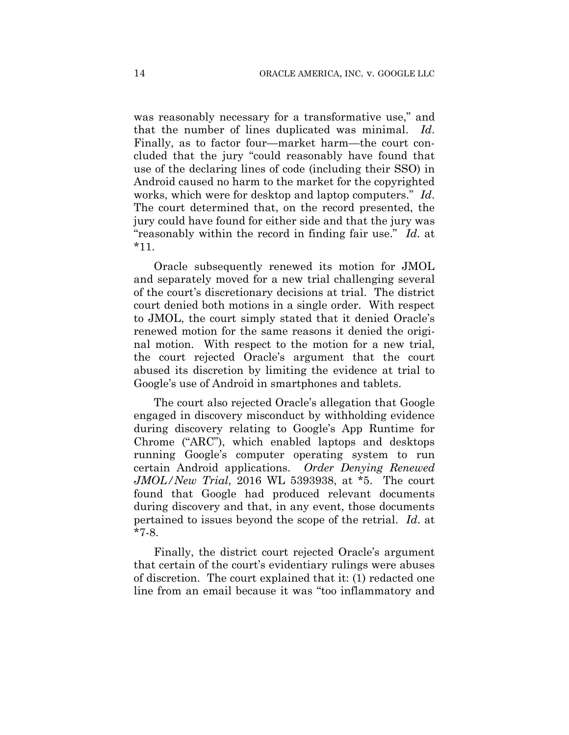was reasonably necessary for a transformative use," and that the number of lines duplicated was minimal. *Id*. Finally, as to factor four—market harm—the court concluded that the jury "could reasonably have found that use of the declaring lines of code (including their SSO) in Android caused no harm to the market for the copyrighted works, which were for desktop and laptop computers." *Id*. The court determined that, on the record presented, the jury could have found for either side and that the jury was "reasonably within the record in finding fair use." *Id*. at \*11.

Oracle subsequently renewed its motion for JMOL and separately moved for a new trial challenging several of the court's discretionary decisions at trial. The district court denied both motions in a single order. With respect to JMOL, the court simply stated that it denied Oracle's renewed motion for the same reasons it denied the original motion. With respect to the motion for a new trial, the court rejected Oracle's argument that the court abused its discretion by limiting the evidence at trial to Google's use of Android in smartphones and tablets.

The court also rejected Oracle's allegation that Google engaged in discovery misconduct by withholding evidence during discovery relating to Google's App Runtime for Chrome ("ARC"), which enabled laptops and desktops running Google's computer operating system to run certain Android applications. *Order Denying Renewed JMOL/New Trial*, 2016 WL 5393938, at \*5. The court found that Google had produced relevant documents during discovery and that, in any event, those documents pertained to issues beyond the scope of the retrial. *Id*. at \*7-8.

Finally, the district court rejected Oracle's argument that certain of the court's evidentiary rulings were abuses of discretion. The court explained that it: (1) redacted one line from an email because it was "too inflammatory and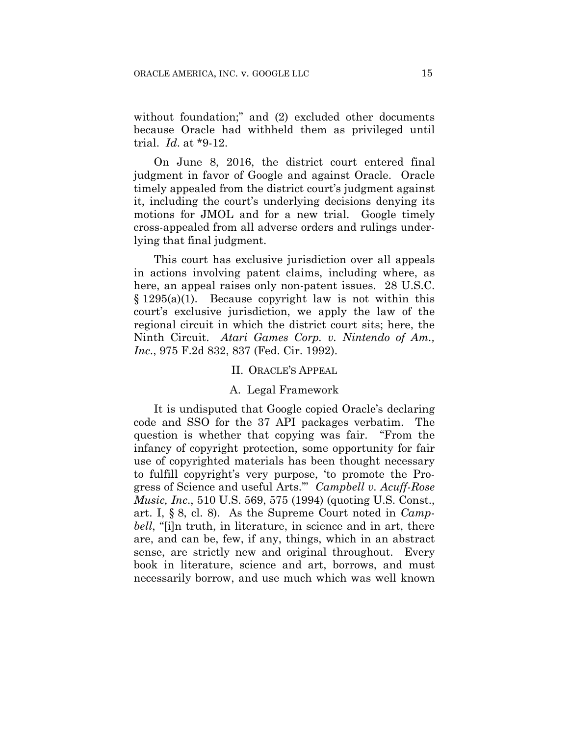without foundation;" and (2) excluded other documents because Oracle had withheld them as privileged until trial. *Id*. at \*9-12.

On June 8, 2016, the district court entered final judgment in favor of Google and against Oracle. Oracle timely appealed from the district court's judgment against it, including the court's underlying decisions denying its motions for JMOL and for a new trial. Google timely cross-appealed from all adverse orders and rulings underlying that final judgment.

This court has exclusive jurisdiction over all appeals in actions involving patent claims, including where, as here, an appeal raises only non-patent issues. 28 U.S.C. § 1295(a)(1). Because copyright law is not within this court's exclusive jurisdiction, we apply the law of the regional circuit in which the district court sits; here, the Ninth Circuit. *Atari Games Corp. v. Nintendo of Am., Inc*., 975 F.2d 832, 837 (Fed. Cir. 1992).

# II. ORACLE'S APPEAL

#### A. Legal Framework

It is undisputed that Google copied Oracle's declaring code and SSO for the 37 API packages verbatim. The question is whether that copying was fair. "From the infancy of copyright protection, some opportunity for fair use of copyrighted materials has been thought necessary to fulfill copyright's very purpose, 'to promote the Progress of Science and useful Arts.'" *Campbell v. Acuff-Rose Music, Inc*., 510 U.S. 569, 575 (1994) (quoting U.S. Const., art. I, § 8, cl. 8). As the Supreme Court noted in *Campbell*, "[i]n truth, in literature, in science and in art, there are, and can be, few, if any, things, which in an abstract sense, are strictly new and original throughout. Every book in literature, science and art, borrows, and must necessarily borrow, and use much which was well known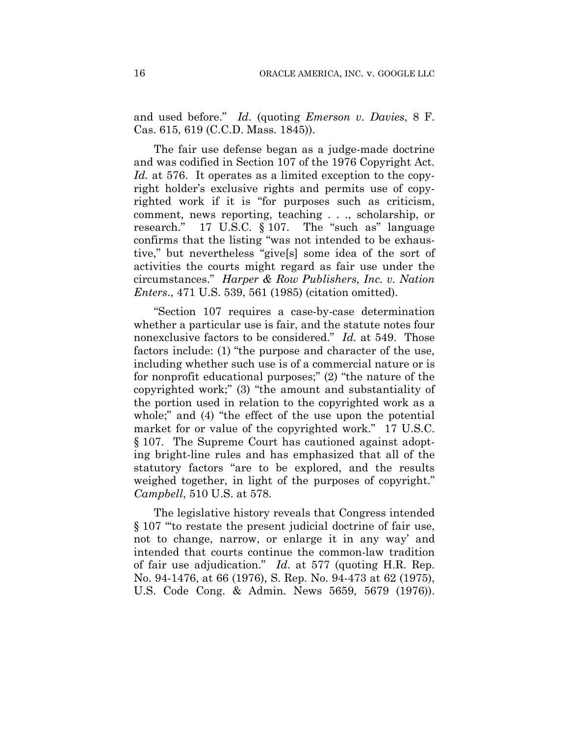and used before." *Id*. (quoting *Emerson v. Davies*, 8 F. Cas. 615, 619 (C.C.D. Mass. 1845)).

The fair use defense began as a judge-made doctrine and was codified in Section 107 of the 1976 Copyright Act. *Id.* at 576. It operates as a limited exception to the copyright holder's exclusive rights and permits use of copyrighted work if it is "for purposes such as criticism, comment, news reporting, teaching . . ., scholarship, or research." 17 U.S.C. § 107. The "such as" language confirms that the listing "was not intended to be exhaustive," but nevertheless "give[s] some idea of the sort of activities the courts might regard as fair use under the circumstances." *Harper & Row Publishers, Inc. v. Nation Enters*., 471 U.S. 539, 561 (1985) (citation omitted).

"Section 107 requires a case-by-case determination whether a particular use is fair, and the statute notes four nonexclusive factors to be considered." *Id.* at 549. Those factors include: (1) "the purpose and character of the use, including whether such use is of a commercial nature or is for nonprofit educational purposes;" (2) "the nature of the copyrighted work;" (3) "the amount and substantiality of the portion used in relation to the copyrighted work as a whole;" and (4) "the effect of the use upon the potential market for or value of the copyrighted work." 17 U.S.C. § 107. The Supreme Court has cautioned against adopting bright-line rules and has emphasized that all of the statutory factors "are to be explored, and the results weighed together, in light of the purposes of copyright." *Campbell*, 510 U.S. at 578.

The legislative history reveals that Congress intended § 107 "to restate the present judicial doctrine of fair use, not to change, narrow, or enlarge it in any way' and intended that courts continue the common-law tradition of fair use adjudication." *Id*. at 577 (quoting H.R. Rep. No. 94-1476, at 66 (1976), S. Rep. No. 94-473 at 62 (1975), U.S. Code Cong. & Admin. News 5659, 5679 (1976)).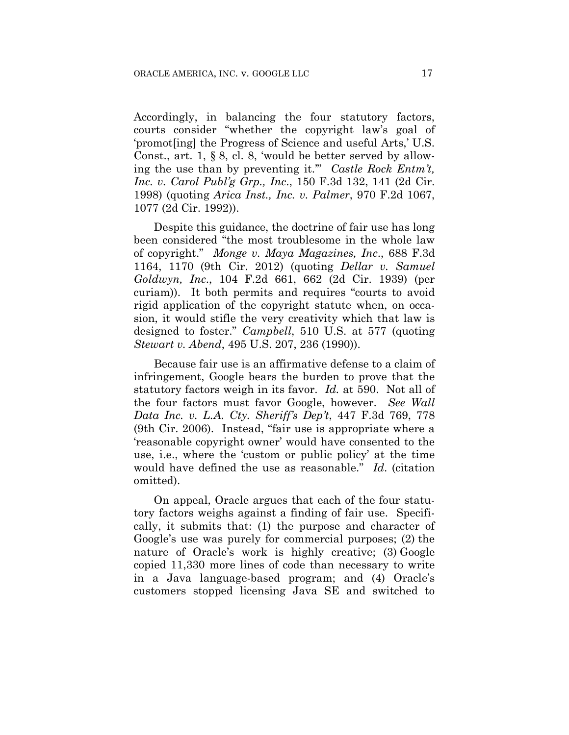Accordingly, in balancing the four statutory factors, courts consider "whether the copyright law's goal of 'promot[ing] the Progress of Science and useful Arts,' U.S. Const., art. 1, § 8, cl. 8, 'would be better served by allowing the use than by preventing it.'" *Castle Rock Entm't, Inc. v. Carol Publ'g Grp., Inc*., 150 F.3d 132, 141 (2d Cir. 1998) (quoting *Arica Inst., Inc. v. Palmer*, 970 F.2d 1067, 1077 (2d Cir. 1992)).

Despite this guidance, the doctrine of fair use has long been considered "the most troublesome in the whole law of copyright." *Monge v. Maya Magazines, Inc*., 688 F.3d 1164, 1170 (9th Cir. 2012) (quoting *Dellar v. Samuel Goldwyn, Inc*., 104 F.2d 661, 662 (2d Cir. 1939) (per curiam)). It both permits and requires "courts to avoid rigid application of the copyright statute when, on occasion, it would stifle the very creativity which that law is designed to foster." *Campbell*, 510 U.S. at 577 (quoting *Stewart v. Abend*, 495 U.S. 207, 236 (1990)).

Because fair use is an affirmative defense to a claim of infringement, Google bears the burden to prove that the statutory factors weigh in its favor. *Id.* at 590. Not all of the four factors must favor Google, however. *See Wall Data Inc. v. L.A. Cty. Sheriff's Dep't*, 447 F.3d 769, 778 (9th Cir. 2006). Instead, "fair use is appropriate where a 'reasonable copyright owner' would have consented to the use, i.e., where the 'custom or public policy' at the time would have defined the use as reasonable." *Id*. (citation omitted).

On appeal, Oracle argues that each of the four statutory factors weighs against a finding of fair use. Specifically, it submits that: (1) the purpose and character of Google's use was purely for commercial purposes; (2) the nature of Oracle's work is highly creative; (3) Google copied 11,330 more lines of code than necessary to write in a Java language-based program; and (4) Oracle's customers stopped licensing Java SE and switched to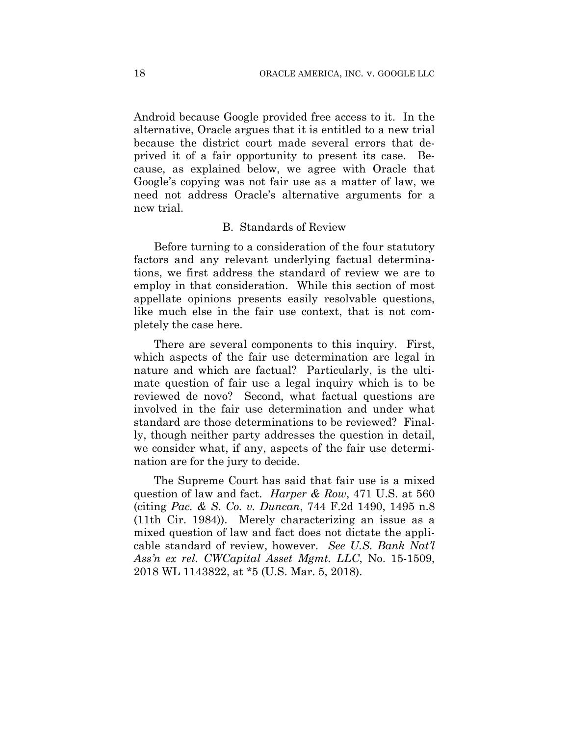Android because Google provided free access to it. In the alternative, Oracle argues that it is entitled to a new trial because the district court made several errors that deprived it of a fair opportunity to present its case. Because, as explained below, we agree with Oracle that Google's copying was not fair use as a matter of law, we need not address Oracle's alternative arguments for a new trial.

# B. Standards of Review

Before turning to a consideration of the four statutory factors and any relevant underlying factual determinations, we first address the standard of review we are to employ in that consideration. While this section of most appellate opinions presents easily resolvable questions, like much else in the fair use context, that is not completely the case here.

There are several components to this inquiry. First, which aspects of the fair use determination are legal in nature and which are factual? Particularly, is the ultimate question of fair use a legal inquiry which is to be reviewed de novo? Second, what factual questions are involved in the fair use determination and under what standard are those determinations to be reviewed? Finally, though neither party addresses the question in detail, we consider what, if any, aspects of the fair use determination are for the jury to decide.

The Supreme Court has said that fair use is a mixed question of law and fact. *Harper & Row*, 471 U.S. at 560 (citing *Pac. & S. Co. v. Duncan*, 744 F.2d 1490, 1495 n.8 (11th Cir. 1984)). Merely characterizing an issue as a mixed question of law and fact does not dictate the applicable standard of review, however. *See U.S. Bank Nat'l Ass'n ex rel. CWCapital Asset Mgmt. LLC*, No. 15-1509, 2018 WL 1143822, at \*5 (U.S. Mar. 5, 2018).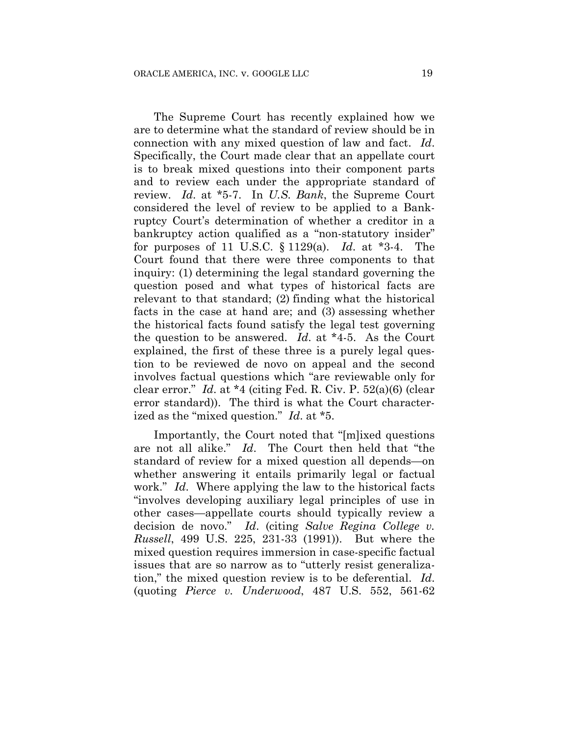The Supreme Court has recently explained how we are to determine what the standard of review should be in connection with any mixed question of law and fact. *Id*. Specifically, the Court made clear that an appellate court is to break mixed questions into their component parts and to review each under the appropriate standard of review. *Id*. at \*5-7. In *U.S. Bank*, the Supreme Court considered the level of review to be applied to a Bankruptcy Court's determination of whether a creditor in a bankruptcy action qualified as a "non-statutory insider" for purposes of 11 U.S.C. § 1129(a). *Id*. at \*3-4. The Court found that there were three components to that inquiry: (1) determining the legal standard governing the question posed and what types of historical facts are relevant to that standard; (2) finding what the historical facts in the case at hand are; and (3) assessing whether the historical facts found satisfy the legal test governing the question to be answered. *Id*. at \*4-5. As the Court explained, the first of these three is a purely legal question to be reviewed de novo on appeal and the second involves factual questions which "are reviewable only for clear error." *Id*. at \*4 (citing Fed. R. Civ. P. 52(a)(6) (clear error standard)). The third is what the Court characterized as the "mixed question." *Id*. at \*5.

Importantly, the Court noted that "[m]ixed questions are not all alike." *Id*. The Court then held that "the standard of review for a mixed question all depends—on whether answering it entails primarily legal or factual work." *Id*. Where applying the law to the historical facts "involves developing auxiliary legal principles of use in other cases—appellate courts should typically review a decision de novo." *Id*. (citing *Salve Regina College v. Russell*, 499 U.S. 225, 231-33 (1991)). But where the mixed question requires immersion in case-specific factual issues that are so narrow as to "utterly resist generalization," the mixed question review is to be deferential. *Id*. (quoting *Pierce v. Underwood*, 487 U.S. 552, 561-62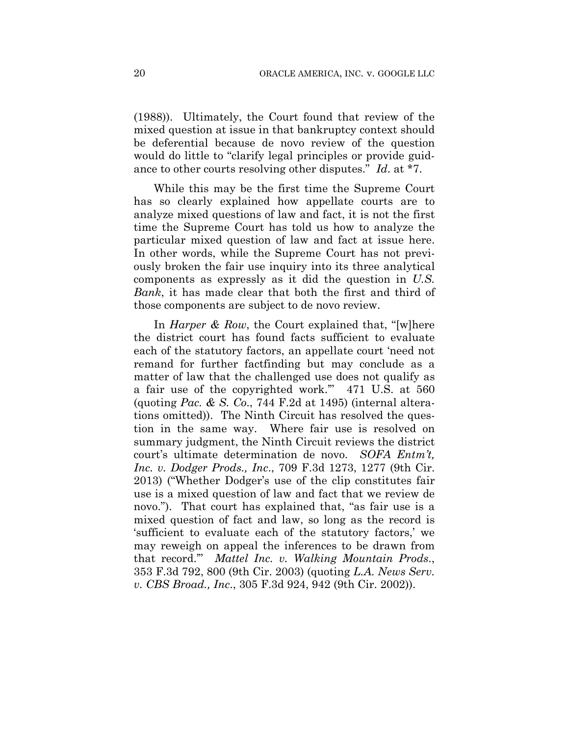(1988)). Ultimately, the Court found that review of the mixed question at issue in that bankruptcy context should be deferential because de novo review of the question would do little to "clarify legal principles or provide guidance to other courts resolving other disputes." *Id*. at \*7.

While this may be the first time the Supreme Court has so clearly explained how appellate courts are to analyze mixed questions of law and fact, it is not the first time the Supreme Court has told us how to analyze the particular mixed question of law and fact at issue here. In other words, while the Supreme Court has not previously broken the fair use inquiry into its three analytical components as expressly as it did the question in *U.S. Bank*, it has made clear that both the first and third of those components are subject to de novo review.

In *Harper & Row*, the Court explained that, "[w]here the district court has found facts sufficient to evaluate each of the statutory factors, an appellate court 'need not remand for further factfinding but may conclude as a matter of law that the challenged use does not qualify as a fair use of the copyrighted work.'" 471 U.S. at 560 (quoting *Pac. & S. Co*., 744 F.2d at 1495) (internal alterations omitted)). The Ninth Circuit has resolved the question in the same way. Where fair use is resolved on summary judgment, the Ninth Circuit reviews the district court's ultimate determination de novo. *SOFA Entm't, Inc. v. Dodger Prods., Inc*., 709 F.3d 1273, 1277 (9th Cir. 2013) ("Whether Dodger's use of the clip constitutes fair use is a mixed question of law and fact that we review de novo."). That court has explained that, "as fair use is a mixed question of fact and law, so long as the record is 'sufficient to evaluate each of the statutory factors,' we may reweigh on appeal the inferences to be drawn from that record.'" *Mattel Inc. v. Walking Mountain Prods*., 353 F.3d 792, 800 (9th Cir. 2003) (quoting *L.A. News Serv. v. CBS Broad., Inc*., 305 F.3d 924, 942 (9th Cir. 2002)).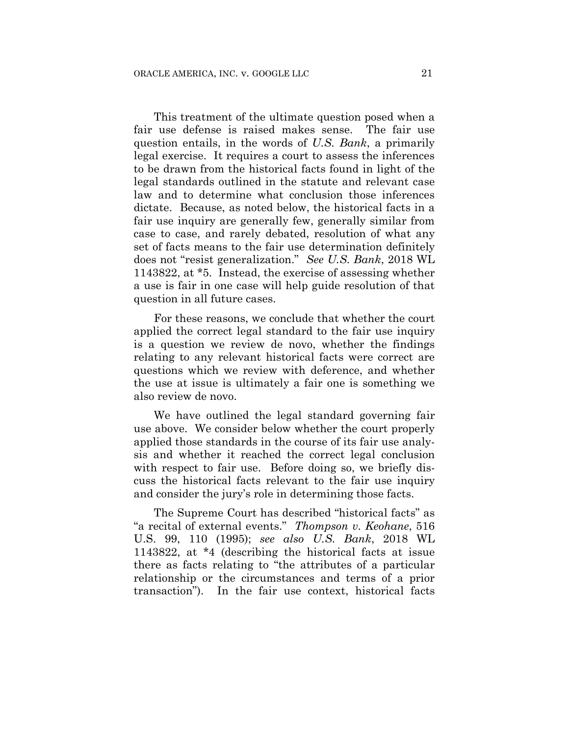This treatment of the ultimate question posed when a fair use defense is raised makes sense. The fair use question entails, in the words of *U.S. Bank*, a primarily legal exercise. It requires a court to assess the inferences to be drawn from the historical facts found in light of the legal standards outlined in the statute and relevant case law and to determine what conclusion those inferences dictate. Because, as noted below, the historical facts in a fair use inquiry are generally few, generally similar from case to case, and rarely debated, resolution of what any set of facts means to the fair use determination definitely does not "resist generalization." *See U.S. Bank*, 2018 WL 1143822, at \*5. Instead, the exercise of assessing whether a use is fair in one case will help guide resolution of that question in all future cases.

For these reasons, we conclude that whether the court applied the correct legal standard to the fair use inquiry is a question we review de novo, whether the findings relating to any relevant historical facts were correct are questions which we review with deference, and whether the use at issue is ultimately a fair one is something we also review de novo.

We have outlined the legal standard governing fair use above. We consider below whether the court properly applied those standards in the course of its fair use analysis and whether it reached the correct legal conclusion with respect to fair use. Before doing so, we briefly discuss the historical facts relevant to the fair use inquiry and consider the jury's role in determining those facts.

The Supreme Court has described "historical facts" as "a recital of external events." *Thompson v. Keohane*, 516 U.S. 99, 110 (1995); *see also U.S. Bank*, 2018 WL 1143822, at \*4 (describing the historical facts at issue there as facts relating to "the attributes of a particular relationship or the circumstances and terms of a prior transaction"). In the fair use context, historical facts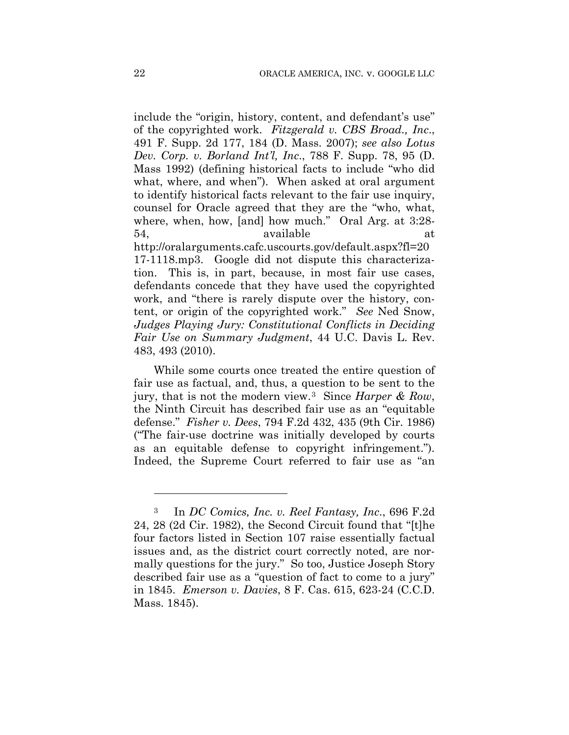include the "origin, history, content, and defendant's use" of the copyrighted work. *Fitzgerald v. CBS Broad., Inc*., 491 F. Supp. 2d 177, 184 (D. Mass. 2007); *see also Lotus Dev. Corp. v. Borland Int'l, Inc*., 788 F. Supp. 78, 95 (D. Mass 1992) (defining historical facts to include "who did what, where, and when"). When asked at oral argument to identify historical facts relevant to the fair use inquiry, counsel for Oracle agreed that they are the "who, what, where, when, how, [and] how much." Oral Arg. at 3:28- 54, available at http://oralarguments.cafc.uscourts.gov/default.aspx?fl=20 17-1118.mp3. Google did not dispute this characterization. This is, in part, because, in most fair use cases, defendants concede that they have used the copyrighted work, and "there is rarely dispute over the history, content, or origin of the copyrighted work." *See* Ned Snow, *Judges Playing Jury: Constitutional Conflicts in Deciding Fair Use on Summary Judgment*, 44 U.C. Davis L. Rev. 483, 493 (2010).

While some courts once treated the entire question of fair use as factual, and, thus, a question to be sent to the jury, that is not the modern view.3 Since *Harper & Row*, the Ninth Circuit has described fair use as an "equitable defense." *Fisher v. Dees*, 794 F.2d 432, 435 (9th Cir. 1986) ("The fair-use doctrine was initially developed by courts as an equitable defense to copyright infringement."). Indeed, the Supreme Court referred to fair use as "an

1

<sup>3</sup> In *DC Comics, Inc. v. Reel Fantasy, Inc*., 696 F.2d 24, 28 (2d Cir. 1982), the Second Circuit found that "[t]he four factors listed in Section 107 raise essentially factual issues and, as the district court correctly noted, are normally questions for the jury." So too, Justice Joseph Story described fair use as a "question of fact to come to a jury" in 1845. *Emerson v. Davies*, 8 F. Cas. 615, 623-24 (C.C.D. Mass. 1845).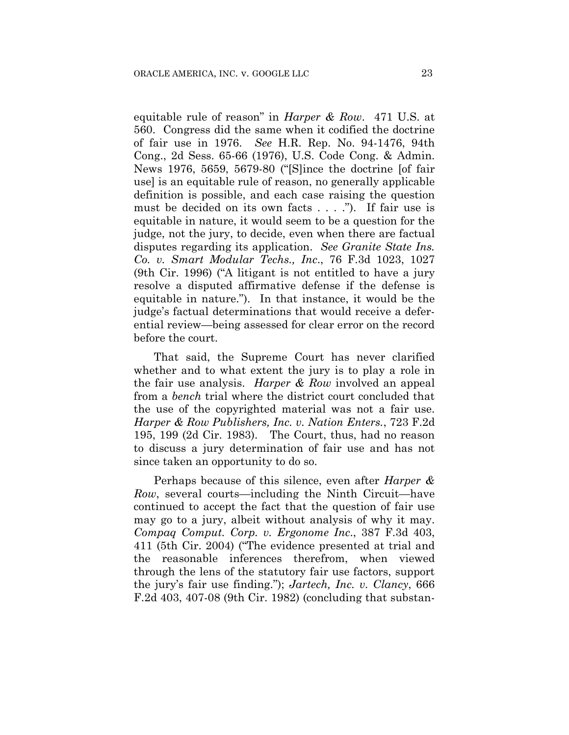equitable rule of reason" in *Harper & Row*. 471 U.S. at 560. Congress did the same when it codified the doctrine of fair use in 1976. *See* H.R. Rep. No. 94-1476, 94th Cong., 2d Sess. 65-66 (1976), U.S. Code Cong. & Admin. News 1976, 5659, 5679-80 ("[S]ince the doctrine [of fair use] is an equitable rule of reason, no generally applicable definition is possible, and each case raising the question must be decided on its own facts . . . ."). If fair use is equitable in nature, it would seem to be a question for the judge, not the jury, to decide, even when there are factual disputes regarding its application. *See Granite State Ins. Co. v. Smart Modular Techs., Inc*., 76 F.3d 1023, 1027 (9th Cir. 1996) ("A litigant is not entitled to have a jury resolve a disputed affirmative defense if the defense is equitable in nature."). In that instance, it would be the judge's factual determinations that would receive a deferential review—being assessed for clear error on the record before the court.

That said, the Supreme Court has never clarified whether and to what extent the jury is to play a role in the fair use analysis. *Harper & Row* involved an appeal from a *bench* trial where the district court concluded that the use of the copyrighted material was not a fair use. *Harper & Row Publishers, Inc. v. Nation Enters.*, 723 F.2d 195, 199 (2d Cir. 1983). The Court, thus, had no reason to discuss a jury determination of fair use and has not since taken an opportunity to do so.

Perhaps because of this silence, even after *Harper & Row*, several courts—including the Ninth Circuit—have continued to accept the fact that the question of fair use may go to a jury, albeit without analysis of why it may. *Compaq Comput. Corp. v. Ergonome Inc*., 387 F.3d 403, 411 (5th Cir. 2004) ("The evidence presented at trial and the reasonable inferences therefrom, when viewed through the lens of the statutory fair use factors, support the jury's fair use finding."); *Jartech, Inc. v. Clancy*, 666 F.2d 403, 407-08 (9th Cir. 1982) (concluding that substan-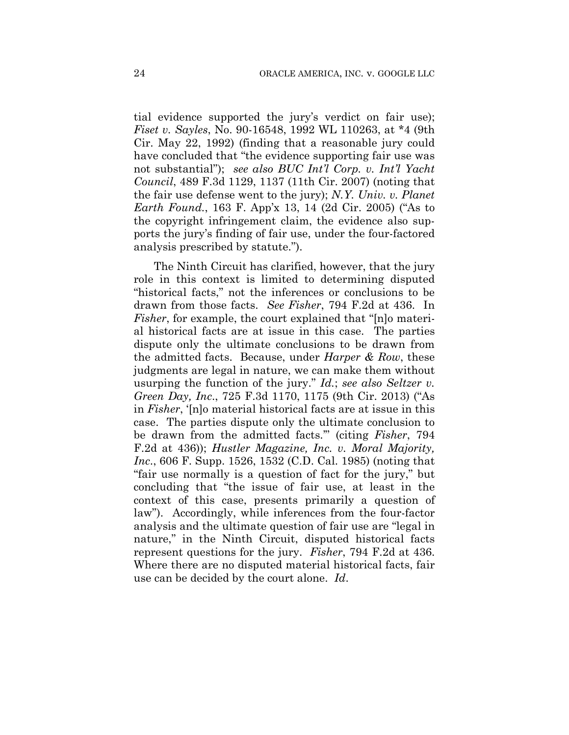tial evidence supported the jury's verdict on fair use); *Fiset v. Sayles*, No. 90-16548, 1992 WL 110263, at \*4 (9th Cir. May 22, 1992) (finding that a reasonable jury could have concluded that "the evidence supporting fair use was not substantial"); *see also BUC Int'l Corp. v. Int'l Yacht Council*, 489 F.3d 1129, 1137 (11th Cir. 2007) (noting that the fair use defense went to the jury); *N.Y. Univ. v. Planet Earth Found.*, 163 F. App'x 13, 14 (2d Cir. 2005) ("As to the copyright infringement claim, the evidence also supports the jury's finding of fair use, under the four-factored analysis prescribed by statute.").

The Ninth Circuit has clarified, however, that the jury role in this context is limited to determining disputed "historical facts," not the inferences or conclusions to be drawn from those facts. *See Fisher*, 794 F.2d at 436. In *Fisher*, for example, the court explained that "[n]o material historical facts are at issue in this case. The parties dispute only the ultimate conclusions to be drawn from the admitted facts. Because, under *Harper & Row*, these judgments are legal in nature, we can make them without usurping the function of the jury." *Id.*; *see also Seltzer v. Green Day, Inc*., 725 F.3d 1170, 1175 (9th Cir. 2013) ("As in *Fisher*, '[n]o material historical facts are at issue in this case. The parties dispute only the ultimate conclusion to be drawn from the admitted facts.'" (citing *Fisher*, 794 F.2d at 436)); *Hustler Magazine, Inc. v. Moral Majority, Inc*., 606 F. Supp. 1526, 1532 (C.D. Cal. 1985) (noting that "fair use normally is a question of fact for the jury," but concluding that "the issue of fair use, at least in the context of this case, presents primarily a question of law"). Accordingly, while inferences from the four-factor analysis and the ultimate question of fair use are "legal in nature," in the Ninth Circuit, disputed historical facts represent questions for the jury. *Fisher*, 794 F.2d at 436. Where there are no disputed material historical facts, fair use can be decided by the court alone. *Id*.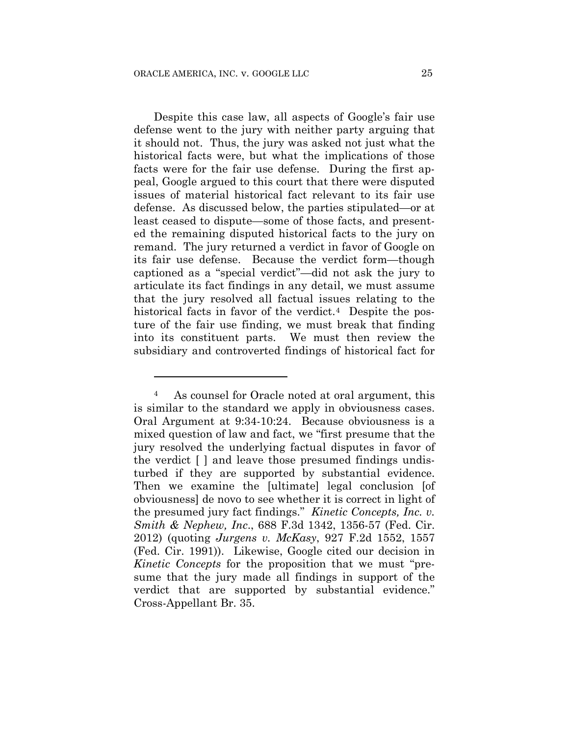1

Despite this case law, all aspects of Google's fair use defense went to the jury with neither party arguing that it should not. Thus, the jury was asked not just what the historical facts were, but what the implications of those facts were for the fair use defense. During the first appeal, Google argued to this court that there were disputed issues of material historical fact relevant to its fair use defense. As discussed below, the parties stipulated—or at least ceased to dispute—some of those facts, and presented the remaining disputed historical facts to the jury on remand. The jury returned a verdict in favor of Google on its fair use defense. Because the verdict form—though captioned as a "special verdict"—did not ask the jury to articulate its fact findings in any detail, we must assume that the jury resolved all factual issues relating to the historical facts in favor of the verdict.<sup>4</sup> Despite the posture of the fair use finding, we must break that finding into its constituent parts. We must then review the subsidiary and controverted findings of historical fact for

<sup>4</sup> As counsel for Oracle noted at oral argument, this is similar to the standard we apply in obviousness cases. Oral Argument at 9:34-10:24. Because obviousness is a mixed question of law and fact, we "first presume that the jury resolved the underlying factual disputes in favor of the verdict [ ] and leave those presumed findings undisturbed if they are supported by substantial evidence. Then we examine the [ultimate] legal conclusion [of obviousness] de novo to see whether it is correct in light of the presumed jury fact findings." *Kinetic Concepts, Inc. v. Smith & Nephew, Inc*., 688 F.3d 1342, 1356-57 (Fed. Cir. 2012) (quoting *Jurgens v. McKasy*, 927 F.2d 1552, 1557 (Fed. Cir. 1991)). Likewise, Google cited our decision in *Kinetic Concepts* for the proposition that we must "presume that the jury made all findings in support of the verdict that are supported by substantial evidence." Cross-Appellant Br. 35.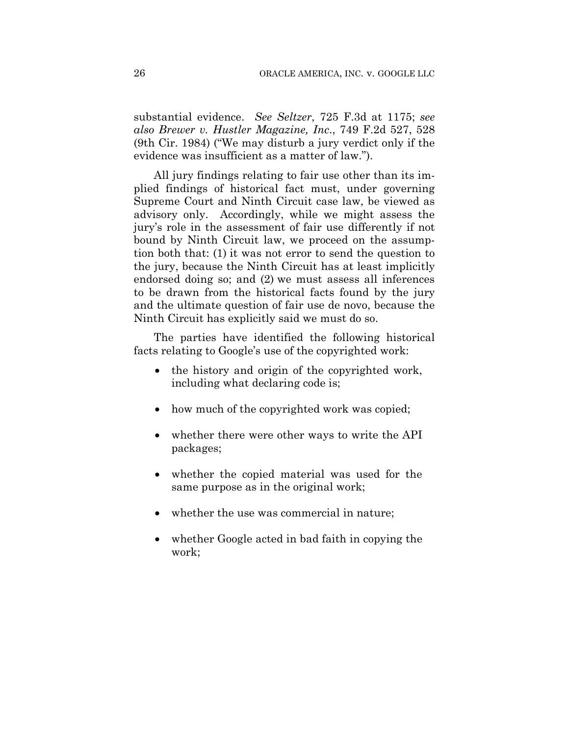substantial evidence. *See Seltzer*, 725 F.3d at 1175; *see also Brewer v. Hustler Magazine, Inc*., 749 F.2d 527, 528 (9th Cir. 1984) ("We may disturb a jury verdict only if the evidence was insufficient as a matter of law.").

All jury findings relating to fair use other than its implied findings of historical fact must, under governing Supreme Court and Ninth Circuit case law, be viewed as advisory only. Accordingly, while we might assess the jury's role in the assessment of fair use differently if not bound by Ninth Circuit law, we proceed on the assumption both that: (1) it was not error to send the question to the jury, because the Ninth Circuit has at least implicitly endorsed doing so; and (2) we must assess all inferences to be drawn from the historical facts found by the jury and the ultimate question of fair use de novo, because the Ninth Circuit has explicitly said we must do so.

The parties have identified the following historical facts relating to Google's use of the copyrighted work:

- the history and origin of the copyrighted work, including what declaring code is;
- how much of the copyrighted work was copied;
- whether there were other ways to write the API packages;
- whether the copied material was used for the same purpose as in the original work;
- whether the use was commercial in nature;
- whether Google acted in bad faith in copying the work;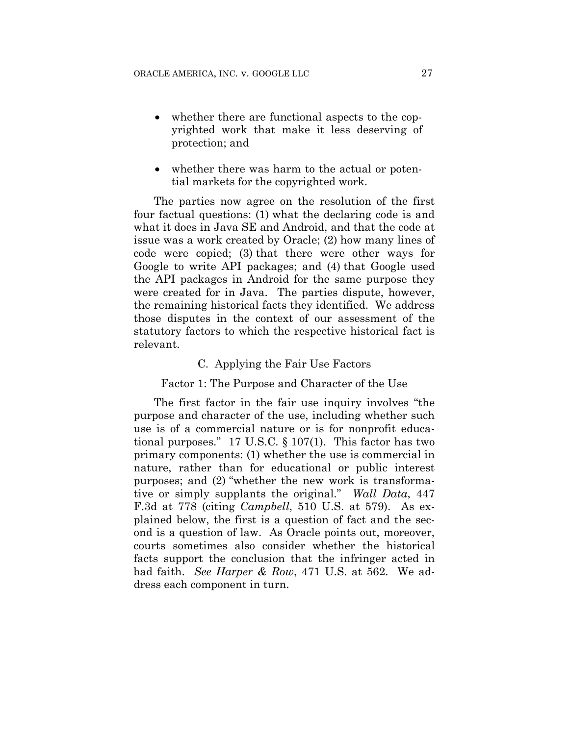- whether there are functional aspects to the copyrighted work that make it less deserving of protection; and
- whether there was harm to the actual or potential markets for the copyrighted work.

The parties now agree on the resolution of the first four factual questions: (1) what the declaring code is and what it does in Java SE and Android, and that the code at issue was a work created by Oracle; (2) how many lines of code were copied; (3) that there were other ways for Google to write API packages; and (4) that Google used the API packages in Android for the same purpose they were created for in Java. The parties dispute, however, the remaining historical facts they identified. We address those disputes in the context of our assessment of the statutory factors to which the respective historical fact is relevant.

#### C. Applying the Fair Use Factors

#### Factor 1: The Purpose and Character of the Use

The first factor in the fair use inquiry involves "the purpose and character of the use, including whether such use is of a commercial nature or is for nonprofit educational purposes." 17 U.S.C. § 107(1). This factor has two primary components: (1) whether the use is commercial in nature, rather than for educational or public interest purposes; and (2) "whether the new work is transformative or simply supplants the original." *Wall Data*, 447 F.3d at 778 (citing *Campbell*, 510 U.S. at 579). As explained below, the first is a question of fact and the second is a question of law. As Oracle points out, moreover, courts sometimes also consider whether the historical facts support the conclusion that the infringer acted in bad faith. *See Harper & Row*, 471 U.S. at 562. We address each component in turn.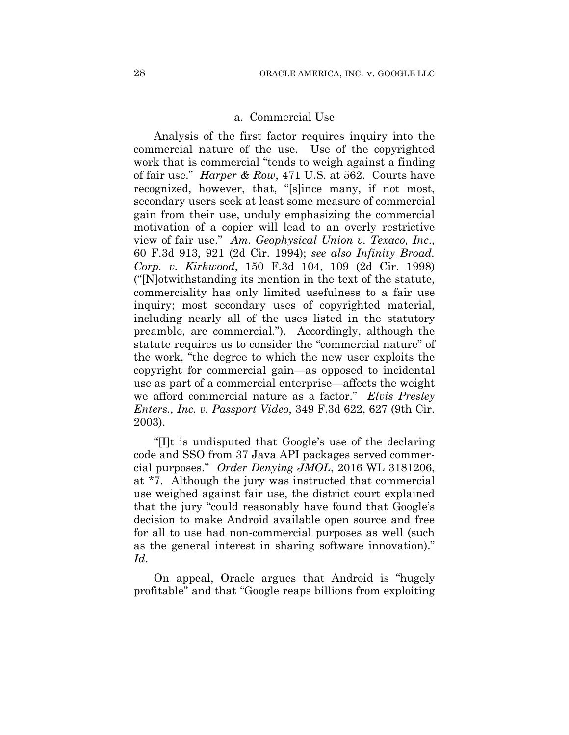#### a. Commercial Use

Analysis of the first factor requires inquiry into the commercial nature of the use. Use of the copyrighted work that is commercial "tends to weigh against a finding of fair use." *Harper & Row*, 471 U.S. at 562. Courts have recognized, however, that, "[s]ince many, if not most, secondary users seek at least some measure of commercial gain from their use, unduly emphasizing the commercial motivation of a copier will lead to an overly restrictive view of fair use." *Am. Geophysical Union v. Texaco, Inc*., 60 F.3d 913, 921 (2d Cir. 1994); *see also Infinity Broad. Corp. v. Kirkwood*, 150 F.3d 104, 109 (2d Cir. 1998) ("[N]otwithstanding its mention in the text of the statute, commerciality has only limited usefulness to a fair use inquiry; most secondary uses of copyrighted material, including nearly all of the uses listed in the statutory preamble, are commercial."). Accordingly, although the statute requires us to consider the "commercial nature" of the work, "the degree to which the new user exploits the copyright for commercial gain—as opposed to incidental use as part of a commercial enterprise—affects the weight we afford commercial nature as a factor." *Elvis Presley Enters., Inc. v. Passport Video*, 349 F.3d 622, 627 (9th Cir. 2003).

"[I]t is undisputed that Google's use of the declaring code and SSO from 37 Java API packages served commercial purposes." *Order Denying JMOL*, 2016 WL 3181206, at \*7. Although the jury was instructed that commercial use weighed against fair use, the district court explained that the jury "could reasonably have found that Google's decision to make Android available open source and free for all to use had non-commercial purposes as well (such as the general interest in sharing software innovation)." *Id*.

On appeal, Oracle argues that Android is "hugely profitable" and that "Google reaps billions from exploiting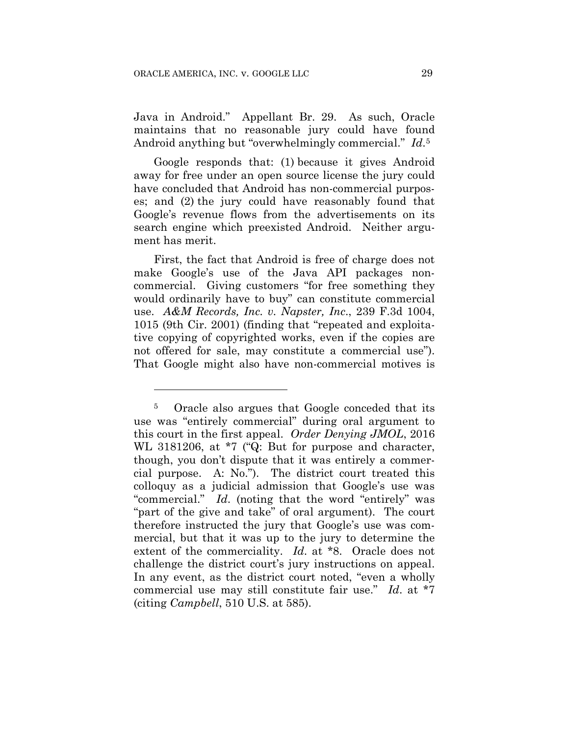<u>.</u>

Java in Android." Appellant Br. 29. As such, Oracle maintains that no reasonable jury could have found Android anything but "overwhelmingly commercial." *Id*.5

Google responds that: (1) because it gives Android away for free under an open source license the jury could have concluded that Android has non-commercial purposes; and (2) the jury could have reasonably found that Google's revenue flows from the advertisements on its search engine which preexisted Android. Neither argument has merit.

First, the fact that Android is free of charge does not make Google's use of the Java API packages noncommercial. Giving customers "for free something they would ordinarily have to buy" can constitute commercial use. *A&M Records, Inc. v. Napster, Inc*., 239 F.3d 1004, 1015 (9th Cir. 2001) (finding that "repeated and exploitative copying of copyrighted works, even if the copies are not offered for sale, may constitute a commercial use"). That Google might also have non-commercial motives is

<sup>5</sup> Oracle also argues that Google conceded that its use was "entirely commercial" during oral argument to this court in the first appeal. *Order Denying JMOL*, 2016 WL 3181206, at \*7 ("Q: But for purpose and character, though, you don't dispute that it was entirely a commercial purpose. A: No."). The district court treated this colloquy as a judicial admission that Google's use was "commercial." *Id*. (noting that the word "entirely" was "part of the give and take" of oral argument). The court therefore instructed the jury that Google's use was commercial, but that it was up to the jury to determine the extent of the commerciality. *Id*. at \*8. Oracle does not challenge the district court's jury instructions on appeal. In any event, as the district court noted, "even a wholly commercial use may still constitute fair use." *Id*. at \*7 (citing *Campbell*, 510 U.S. at 585).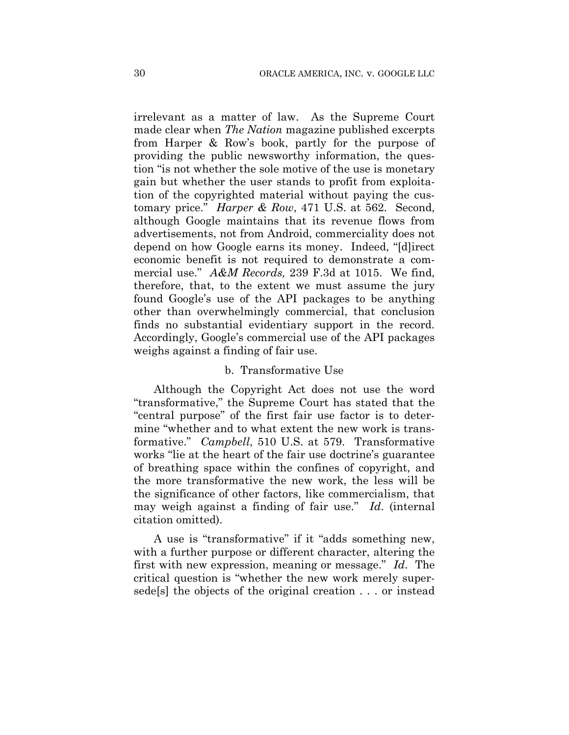irrelevant as a matter of law. As the Supreme Court made clear when *The Nation* magazine published excerpts from Harper & Row's book, partly for the purpose of providing the public newsworthy information, the question "is not whether the sole motive of the use is monetary gain but whether the user stands to profit from exploitation of the copyrighted material without paying the customary price." *Harper & Row*, 471 U.S. at 562. Second, although Google maintains that its revenue flows from advertisements, not from Android, commerciality does not depend on how Google earns its money. Indeed, "[d]irect economic benefit is not required to demonstrate a commercial use." *A&M Records,* 239 F.3d at 1015. We find, therefore, that, to the extent we must assume the jury found Google's use of the API packages to be anything other than overwhelmingly commercial, that conclusion finds no substantial evidentiary support in the record. Accordingly, Google's commercial use of the API packages weighs against a finding of fair use.

# b. Transformative Use

Although the Copyright Act does not use the word "transformative," the Supreme Court has stated that the "central purpose" of the first fair use factor is to determine "whether and to what extent the new work is transformative." *Campbell*, 510 U.S. at 579. Transformative works "lie at the heart of the fair use doctrine's guarantee of breathing space within the confines of copyright, and the more transformative the new work, the less will be the significance of other factors, like commercialism, that may weigh against a finding of fair use." *Id*. (internal citation omitted).

A use is "transformative" if it "adds something new, with a further purpose or different character, altering the first with new expression, meaning or message." *Id*. The critical question is "whether the new work merely supersede[s] the objects of the original creation . . . or instead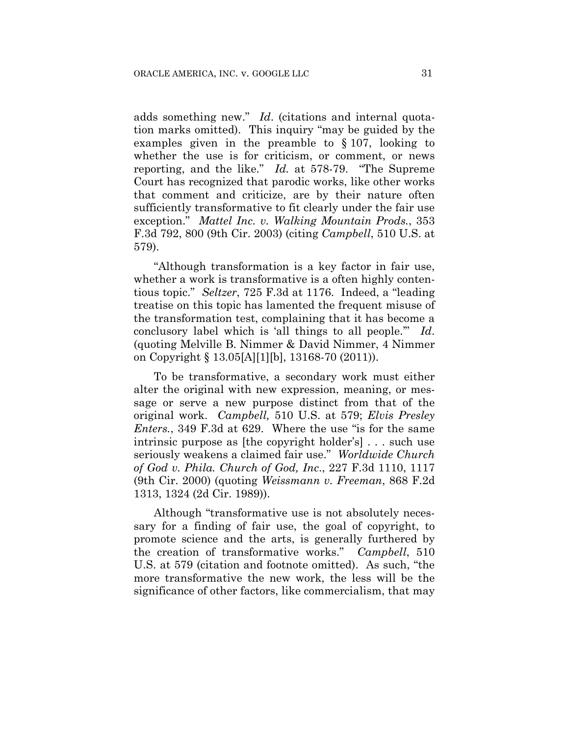adds something new." *Id*. (citations and internal quotation marks omitted). This inquiry "may be guided by the examples given in the preamble to § 107, looking to whether the use is for criticism, or comment, or news reporting, and the like." *Id.* at 578-79. "The Supreme Court has recognized that parodic works, like other works that comment and criticize, are by their nature often sufficiently transformative to fit clearly under the fair use exception." *Mattel Inc. v. Walking Mountain Prods.*, 353 F.3d 792, 800 (9th Cir. 2003) (citing *Campbell*, 510 U.S. at 579).

"Although transformation is a key factor in fair use, whether a work is transformative is a often highly contentious topic." *Seltzer*, 725 F.3d at 1176. Indeed, a "leading treatise on this topic has lamented the frequent misuse of the transformation test, complaining that it has become a conclusory label which is 'all things to all people.'" *Id*. (quoting Melville B. Nimmer & David Nimmer, 4 Nimmer on Copyright § 13.05[A][1][b], 13168-70 (2011)).

To be transformative, a secondary work must either alter the original with new expression, meaning, or message or serve a new purpose distinct from that of the original work. *Campbell,* 510 U.S. at 579; *Elvis Presley Enters.*, 349 F.3d at 629. Where the use "is for the same intrinsic purpose as [the copyright holder's] . . . such use seriously weakens a claimed fair use." *Worldwide Church of God v. Phila. Church of God, Inc*., 227 F.3d 1110, 1117 (9th Cir. 2000) (quoting *Weissmann v. Freeman*, 868 F.2d 1313, 1324 (2d Cir. 1989)).

Although "transformative use is not absolutely necessary for a finding of fair use, the goal of copyright, to promote science and the arts, is generally furthered by the creation of transformative works." *Campbell*, 510 U.S. at 579 (citation and footnote omitted). As such, "the more transformative the new work, the less will be the significance of other factors, like commercialism, that may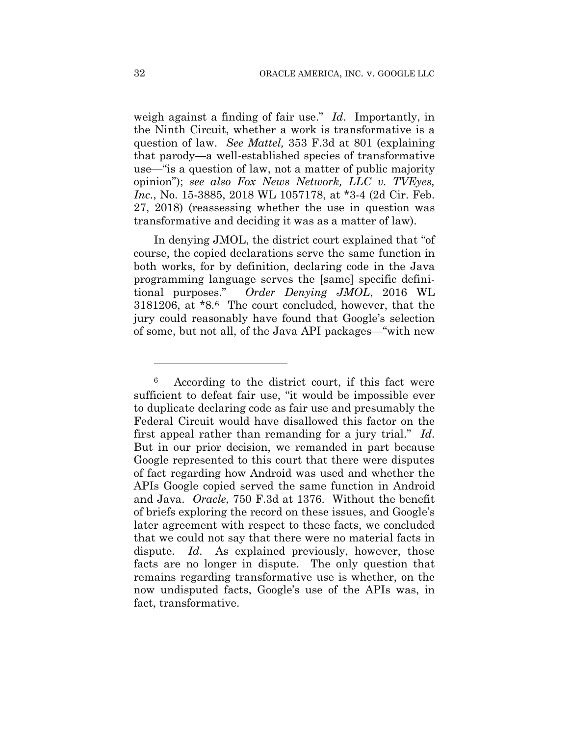weigh against a finding of fair use." *Id*. Importantly, in the Ninth Circuit, whether a work is transformative is a question of law. *See Mattel,* 353 F.3d at 801 (explaining that parody—a well-established species of transformative use—"is a question of law, not a matter of public majority opinion"); *see also Fox News Network, LLC v. TVEyes, Inc*., No. 15-3885, 2018 WL 1057178, at \*3-4 (2d Cir. Feb. 27, 2018) (reassessing whether the use in question was transformative and deciding it was as a matter of law).

In denying JMOL, the district court explained that "of course, the copied declarations serve the same function in both works, for by definition, declaring code in the Java programming language serves the [same] specific definitional purposes." *Order Denying JMOL*, 2016 WL 3181206, at \*8.6 The court concluded, however, that the jury could reasonably have found that Google's selection of some, but not all, of the Java API packages—"with new

1

<sup>6</sup> According to the district court, if this fact were sufficient to defeat fair use, "it would be impossible ever to duplicate declaring code as fair use and presumably the Federal Circuit would have disallowed this factor on the first appeal rather than remanding for a jury trial." *Id*. But in our prior decision, we remanded in part because Google represented to this court that there were disputes of fact regarding how Android was used and whether the APIs Google copied served the same function in Android and Java. *Oracle*, 750 F.3d at 1376. Without the benefit of briefs exploring the record on these issues, and Google's later agreement with respect to these facts, we concluded that we could not say that there were no material facts in dispute. *Id*. As explained previously, however, those facts are no longer in dispute. The only question that remains regarding transformative use is whether, on the now undisputed facts, Google's use of the APIs was, in fact, transformative.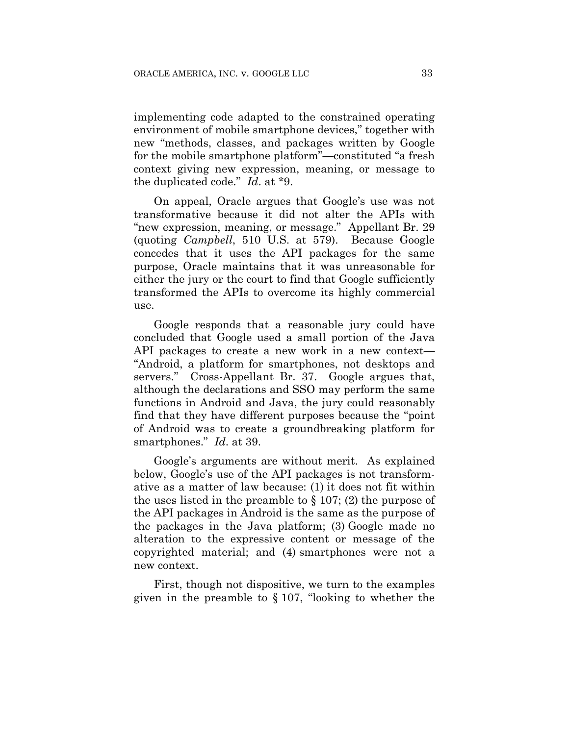implementing code adapted to the constrained operating environment of mobile smartphone devices," together with new "methods, classes, and packages written by Google for the mobile smartphone platform"—constituted "a fresh context giving new expression, meaning, or message to the duplicated code." *Id*. at \*9.

On appeal, Oracle argues that Google's use was not transformative because it did not alter the APIs with "new expression, meaning, or message." Appellant Br. 29 (quoting *Campbell*, 510 U.S. at 579). Because Google concedes that it uses the API packages for the same purpose, Oracle maintains that it was unreasonable for either the jury or the court to find that Google sufficiently transformed the APIs to overcome its highly commercial use.

Google responds that a reasonable jury could have concluded that Google used a small portion of the Java API packages to create a new work in a new context— "Android, a platform for smartphones, not desktops and servers." Cross-Appellant Br. 37. Google argues that, although the declarations and SSO may perform the same functions in Android and Java, the jury could reasonably find that they have different purposes because the "point of Android was to create a groundbreaking platform for smartphones." *Id*. at 39.

Google's arguments are without merit. As explained below, Google's use of the API packages is not transformative as a matter of law because: (1) it does not fit within the uses listed in the preamble to  $\S 107$ ; (2) the purpose of the API packages in Android is the same as the purpose of the packages in the Java platform; (3) Google made no alteration to the expressive content or message of the copyrighted material; and (4) smartphones were not a new context.

First, though not dispositive, we turn to the examples given in the preamble to § 107, "looking to whether the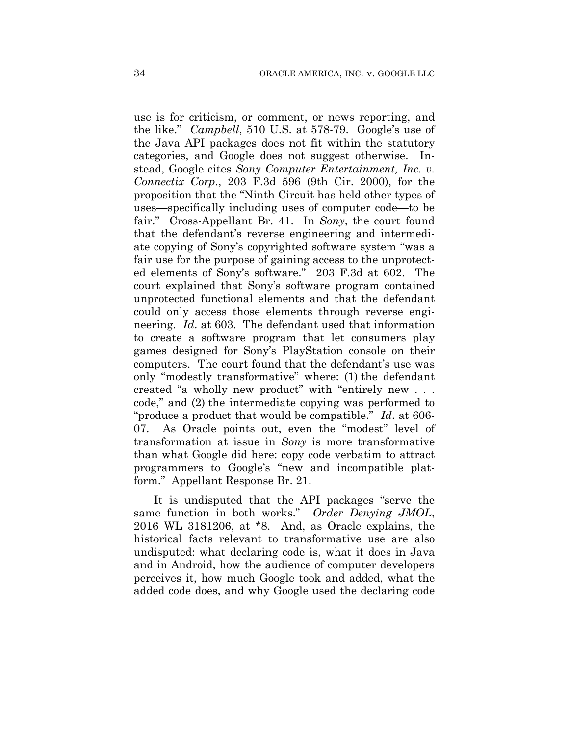use is for criticism, or comment, or news reporting, and the like." *Campbell*, 510 U.S. at 578-79. Google's use of the Java API packages does not fit within the statutory categories, and Google does not suggest otherwise. Instead, Google cites *Sony Computer Entertainment, Inc. v. Connectix Corp*., 203 F.3d 596 (9th Cir. 2000), for the proposition that the "Ninth Circuit has held other types of uses—specifically including uses of computer code—to be fair." Cross-Appellant Br. 41. In *Sony*, the court found that the defendant's reverse engineering and intermediate copying of Sony's copyrighted software system "was a fair use for the purpose of gaining access to the unprotected elements of Sony's software." 203 F.3d at 602. The court explained that Sony's software program contained unprotected functional elements and that the defendant could only access those elements through reverse engineering. *Id*. at 603. The defendant used that information to create a software program that let consumers play games designed for Sony's PlayStation console on their computers. The court found that the defendant's use was only "modestly transformative" where: (1) the defendant created "a wholly new product" with "entirely new . . . code," and (2) the intermediate copying was performed to "produce a product that would be compatible." *Id*. at 606- 07. As Oracle points out, even the "modest" level of transformation at issue in *Sony* is more transformative than what Google did here: copy code verbatim to attract programmers to Google's "new and incompatible platform." Appellant Response Br. 21.

It is undisputed that the API packages "serve the same function in both works." *Order Denying JMOL*, 2016 WL 3181206, at \*8. And, as Oracle explains, the historical facts relevant to transformative use are also undisputed: what declaring code is, what it does in Java and in Android, how the audience of computer developers perceives it, how much Google took and added, what the added code does, and why Google used the declaring code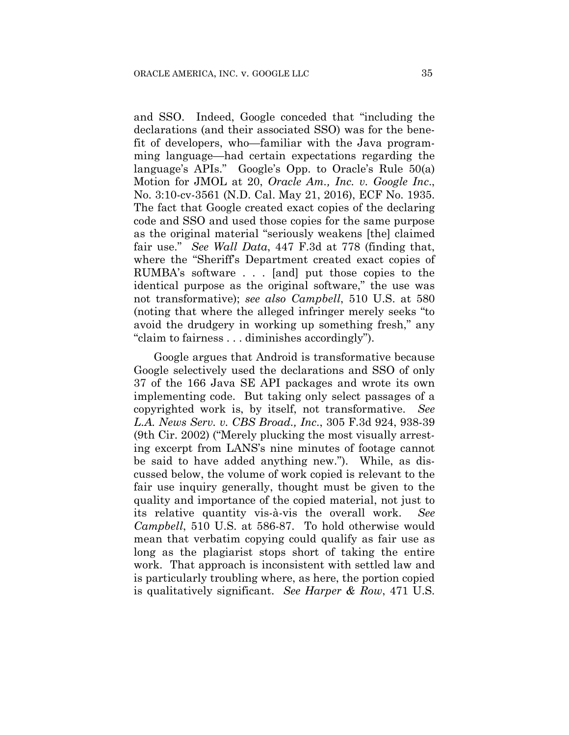and SSO. Indeed, Google conceded that "including the declarations (and their associated SSO) was for the benefit of developers, who—familiar with the Java programming language—had certain expectations regarding the language's APIs." Google's Opp. to Oracle's Rule 50(a) Motion for JMOL at 20, *Oracle Am., Inc. v. Google Inc*., No. 3:10-cv-3561 (N.D. Cal. May 21, 2016), ECF No. 1935. The fact that Google created exact copies of the declaring code and SSO and used those copies for the same purpose as the original material "seriously weakens [the] claimed fair use." *See Wall Data*, 447 F.3d at 778 (finding that, where the "Sheriff's Department created exact copies of RUMBA's software . . . [and] put those copies to the identical purpose as the original software," the use was not transformative); *see also Campbell*, 510 U.S. at 580 (noting that where the alleged infringer merely seeks "to avoid the drudgery in working up something fresh," any "claim to fairness . . . diminishes accordingly").

Google argues that Android is transformative because Google selectively used the declarations and SSO of only 37 of the 166 Java SE API packages and wrote its own implementing code. But taking only select passages of a copyrighted work is, by itself, not transformative. *See L.A. News Serv. v. CBS Broad., Inc*., 305 F.3d 924, 938-39 (9th Cir. 2002) ("Merely plucking the most visually arresting excerpt from LANS's nine minutes of footage cannot be said to have added anything new."). While, as discussed below, the volume of work copied is relevant to the fair use inquiry generally, thought must be given to the quality and importance of the copied material, not just to its relative quantity vis-à-vis the overall work. *See Campbell*, 510 U.S. at 586-87. To hold otherwise would mean that verbatim copying could qualify as fair use as long as the plagiarist stops short of taking the entire work. That approach is inconsistent with settled law and is particularly troubling where, as here, the portion copied is qualitatively significant. *See Harper & Row*, 471 U.S.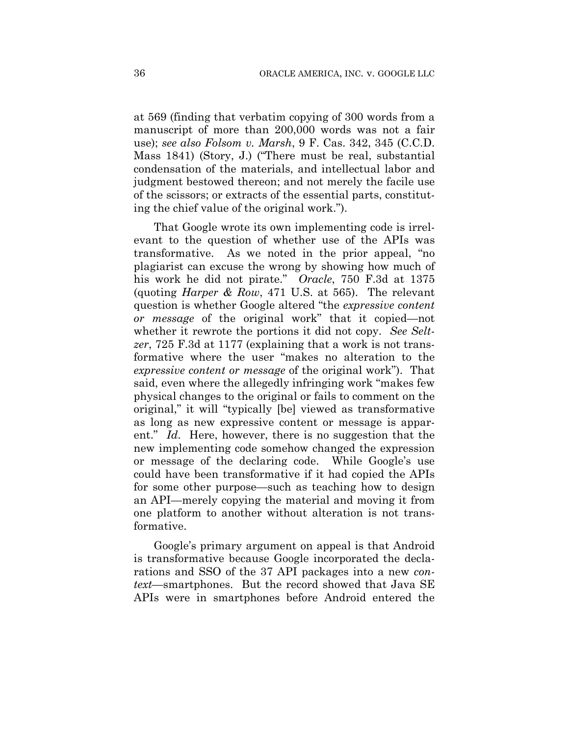at 569 (finding that verbatim copying of 300 words from a manuscript of more than 200,000 words was not a fair use); *see also Folsom v. Marsh*, 9 F. Cas. 342, 345 (C.C.D. Mass 1841) (Story, J.) ("There must be real, substantial condensation of the materials, and intellectual labor and judgment bestowed thereon; and not merely the facile use of the scissors; or extracts of the essential parts, constituting the chief value of the original work.").

That Google wrote its own implementing code is irrelevant to the question of whether use of the APIs was transformative. As we noted in the prior appeal, "no plagiarist can excuse the wrong by showing how much of his work he did not pirate." *Oracle*, 750 F.3d at 1375 (quoting *Harper & Row*, 471 U.S. at 565). The relevant question is whether Google altered "the *expressive content or message* of the original work" that it copied—not whether it rewrote the portions it did not copy. *See Seltzer*, 725 F.3d at 1177 (explaining that a work is not transformative where the user "makes no alteration to the *expressive content or message* of the original work"). That said, even where the allegedly infringing work "makes few physical changes to the original or fails to comment on the original," it will "typically [be] viewed as transformative as long as new expressive content or message is apparent." *Id*. Here, however, there is no suggestion that the new implementing code somehow changed the expression or message of the declaring code. While Google's use could have been transformative if it had copied the APIs for some other purpose—such as teaching how to design an API—merely copying the material and moving it from one platform to another without alteration is not transformative.

Google's primary argument on appeal is that Android is transformative because Google incorporated the declarations and SSO of the 37 API packages into a new *context*—smartphones. But the record showed that Java SE APIs were in smartphones before Android entered the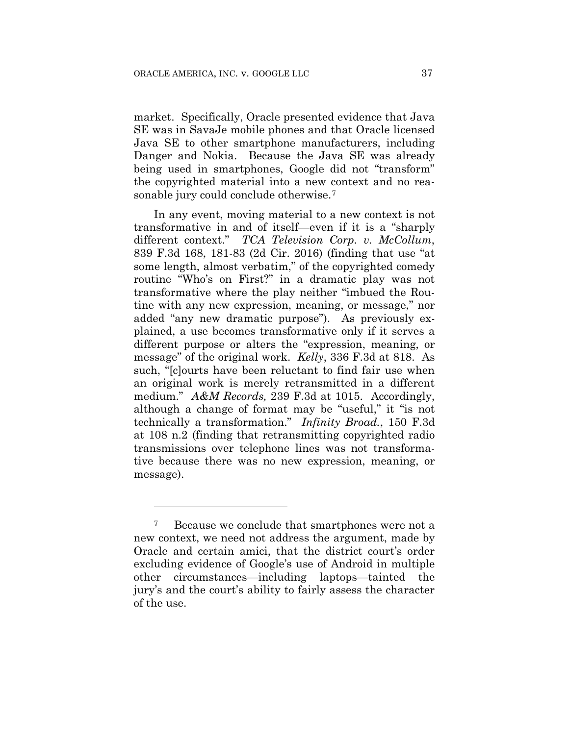market. Specifically, Oracle presented evidence that Java SE was in SavaJe mobile phones and that Oracle licensed Java SE to other smartphone manufacturers, including Danger and Nokia. Because the Java SE was already being used in smartphones, Google did not "transform" the copyrighted material into a new context and no reasonable jury could conclude otherwise.7

In any event, moving material to a new context is not transformative in and of itself—even if it is a "sharply different context." *TCA Television Corp. v. McCollum*, 839 F.3d 168, 181-83 (2d Cir. 2016) (finding that use "at some length, almost verbatim," of the copyrighted comedy routine "Who's on First?" in a dramatic play was not transformative where the play neither "imbued the Routine with any new expression, meaning, or message," nor added "any new dramatic purpose"). As previously explained, a use becomes transformative only if it serves a different purpose or alters the "expression, meaning, or message" of the original work. *Kelly*, 336 F.3d at 818. As such, "[c]ourts have been reluctant to find fair use when an original work is merely retransmitted in a different medium." *A&M Records,* 239 F.3d at 1015. Accordingly, although a change of format may be "useful," it "is not technically a transformation." *Infinity Broad.*, 150 F.3d at 108 n.2 (finding that retransmitting copyrighted radio transmissions over telephone lines was not transformative because there was no new expression, meaning, or message).

<u>.</u>

Because we conclude that smartphones were not a new context, we need not address the argument, made by Oracle and certain amici, that the district court's order excluding evidence of Google's use of Android in multiple other circumstances—including laptops—tainted the jury's and the court's ability to fairly assess the character of the use.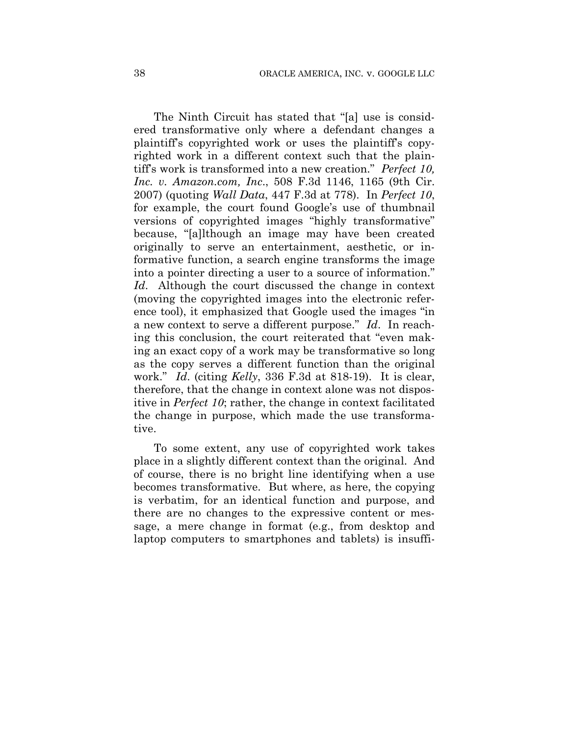The Ninth Circuit has stated that "[a] use is considered transformative only where a defendant changes a plaintiff's copyrighted work or uses the plaintiff's copyrighted work in a different context such that the plaintiff's work is transformed into a new creation." *Perfect 10, Inc. v. Amazon.com, Inc*., 508 F.3d 1146, 1165 (9th Cir. 2007) (quoting *Wall Data*, 447 F.3d at 778). In *Perfect 10*, for example, the court found Google's use of thumbnail versions of copyrighted images "highly transformative" because, "[a]lthough an image may have been created originally to serve an entertainment, aesthetic, or informative function, a search engine transforms the image into a pointer directing a user to a source of information." *Id*. Although the court discussed the change in context (moving the copyrighted images into the electronic reference tool), it emphasized that Google used the images "in a new context to serve a different purpose." *Id*. In reaching this conclusion, the court reiterated that "even making an exact copy of a work may be transformative so long as the copy serves a different function than the original work." *Id*. (citing *Kelly*, 336 F.3d at 818-19). It is clear, therefore, that the change in context alone was not dispositive in *Perfect 10*; rather, the change in context facilitated the change in purpose, which made the use transformative.

To some extent, any use of copyrighted work takes place in a slightly different context than the original. And of course, there is no bright line identifying when a use becomes transformative. But where, as here, the copying is verbatim, for an identical function and purpose, and there are no changes to the expressive content or message, a mere change in format (e.g., from desktop and laptop computers to smartphones and tablets) is insuffi-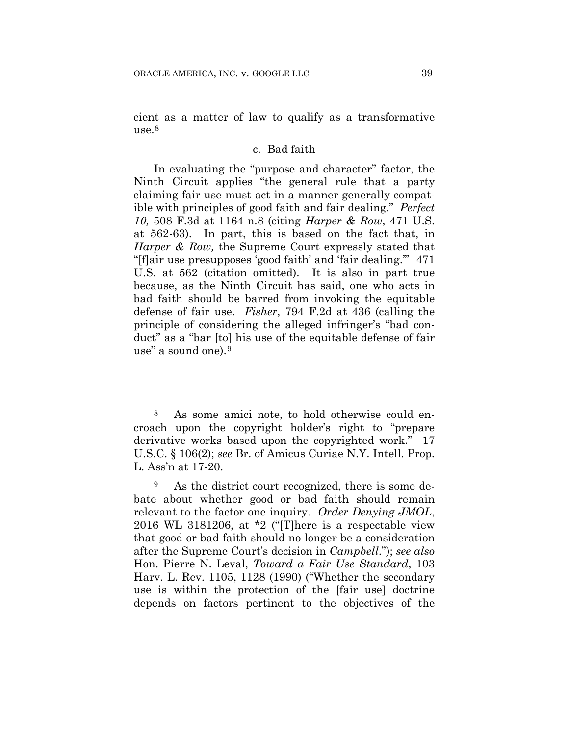<u>.</u>

cient as a matter of law to qualify as a transformative use. $8$ 

# c. Bad faith

In evaluating the "purpose and character" factor, the Ninth Circuit applies "the general rule that a party claiming fair use must act in a manner generally compatible with principles of good faith and fair dealing." *Perfect 10,* 508 F.3d at 1164 n.8 (citing *Harper & Row*, 471 U.S. at 562-63). In part, this is based on the fact that, in *Harper & Row,* the Supreme Court expressly stated that "[f]air use presupposes 'good faith' and 'fair dealing.'" 471 U.S. at 562 (citation omitted). It is also in part true because, as the Ninth Circuit has said, one who acts in bad faith should be barred from invoking the equitable defense of fair use. *Fisher*, 794 F.2d at 436 (calling the principle of considering the alleged infringer's "bad conduct" as a "bar [to] his use of the equitable defense of fair use" a sound one).9

<sup>8</sup> As some amici note, to hold otherwise could encroach upon the copyright holder's right to "prepare derivative works based upon the copyrighted work." 17 U.S.C. § 106(2); *see* Br. of Amicus Curiae N.Y. Intell. Prop. L. Ass'n at 17-20.

<sup>9</sup> As the district court recognized, there is some debate about whether good or bad faith should remain relevant to the factor one inquiry. *Order Denying JMOL*, 2016 WL 3181206, at \*2 ("[T]here is a respectable view that good or bad faith should no longer be a consideration after the Supreme Court's decision in *Campbell*."); *see also* Hon. Pierre N. Leval, *Toward a Fair Use Standard*, 103 Harv. L. Rev. 1105, 1128 (1990) ("Whether the secondary use is within the protection of the [fair use] doctrine depends on factors pertinent to the objectives of the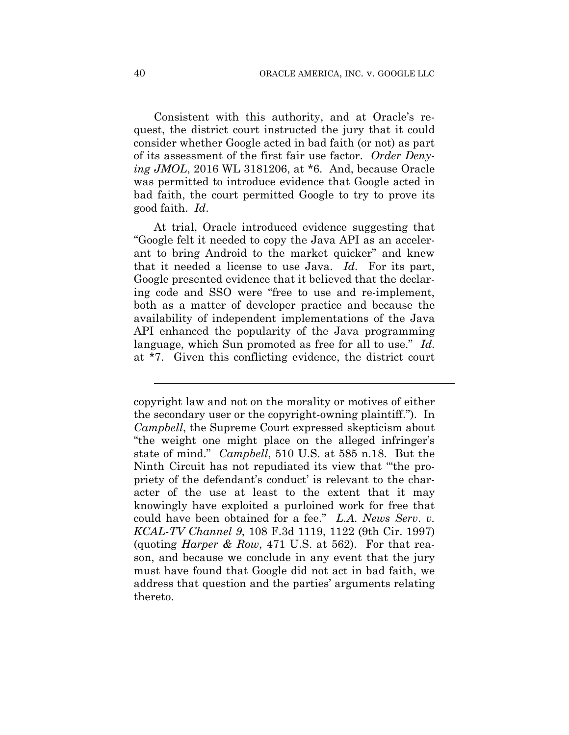Consistent with this authority, and at Oracle's request, the district court instructed the jury that it could consider whether Google acted in bad faith (or not) as part of its assessment of the first fair use factor. *Order Denying JMOL*, 2016 WL 3181206, at \*6. And, because Oracle was permitted to introduce evidence that Google acted in bad faith, the court permitted Google to try to prove its good faith. *Id*.

At trial, Oracle introduced evidence suggesting that "Google felt it needed to copy the Java API as an accelerant to bring Android to the market quicker" and knew that it needed a license to use Java. *Id*. For its part, Google presented evidence that it believed that the declaring code and SSO were "free to use and re-implement, both as a matter of developer practice and because the availability of independent implementations of the Java API enhanced the popularity of the Java programming language, which Sun promoted as free for all to use." *Id*. at \*7. Given this conflicting evidence, the district court

l

copyright law and not on the morality or motives of either the secondary user or the copyright-owning plaintiff."). In *Campbell*, the Supreme Court expressed skepticism about "the weight one might place on the alleged infringer's state of mind." *Campbell*, 510 U.S. at 585 n.18. But the Ninth Circuit has not repudiated its view that "'the propriety of the defendant's conduct' is relevant to the character of the use at least to the extent that it may knowingly have exploited a purloined work for free that could have been obtained for a fee." *L.A. News Serv*. *v. KCAL-TV Channel 9*, 108 F.3d 1119, 1122 (9th Cir. 1997) (quoting *Harper & Row*, 471 U.S. at 562). For that reason, and because we conclude in any event that the jury must have found that Google did not act in bad faith, we address that question and the parties' arguments relating thereto.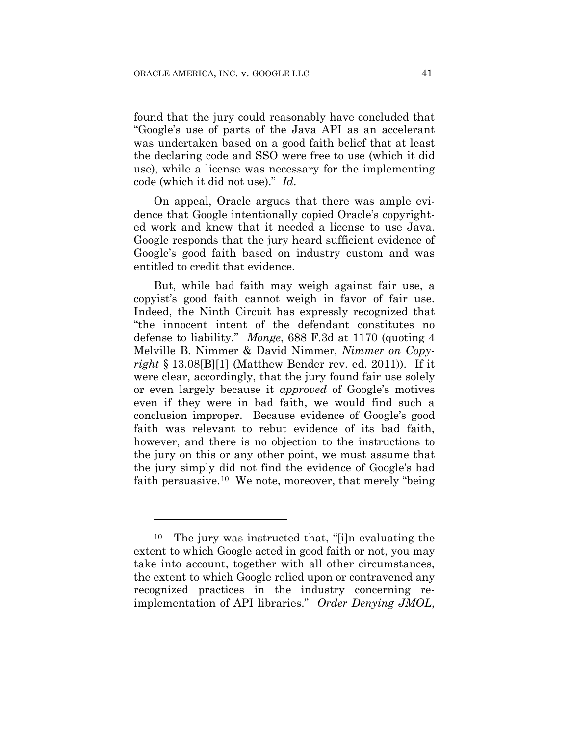found that the jury could reasonably have concluded that "Google's use of parts of the Java API as an accelerant was undertaken based on a good faith belief that at least the declaring code and SSO were free to use (which it did use), while a license was necessary for the implementing code (which it did not use)." *Id*.

On appeal, Oracle argues that there was ample evidence that Google intentionally copied Oracle's copyrighted work and knew that it needed a license to use Java. Google responds that the jury heard sufficient evidence of Google's good faith based on industry custom and was entitled to credit that evidence.

But, while bad faith may weigh against fair use, a copyist's good faith cannot weigh in favor of fair use. Indeed, the Ninth Circuit has expressly recognized that "the innocent intent of the defendant constitutes no defense to liability." *Monge*, 688 F.3d at 1170 (quoting 4 Melville B. Nimmer & David Nimmer, *Nimmer on Copyright* § 13.08[B][1] (Matthew Bender rev. ed. 2011)). If it were clear, accordingly, that the jury found fair use solely or even largely because it *approved* of Google's motives even if they were in bad faith, we would find such a conclusion improper. Because evidence of Google's good faith was relevant to rebut evidence of its bad faith, however, and there is no objection to the instructions to the jury on this or any other point, we must assume that the jury simply did not find the evidence of Google's bad faith persuasive.<sup>10</sup> We note, moreover, that merely "being"

1

<sup>10</sup> The jury was instructed that, "[i]n evaluating the extent to which Google acted in good faith or not, you may take into account, together with all other circumstances, the extent to which Google relied upon or contravened any recognized practices in the industry concerning reimplementation of API libraries." *Order Denying JMOL*,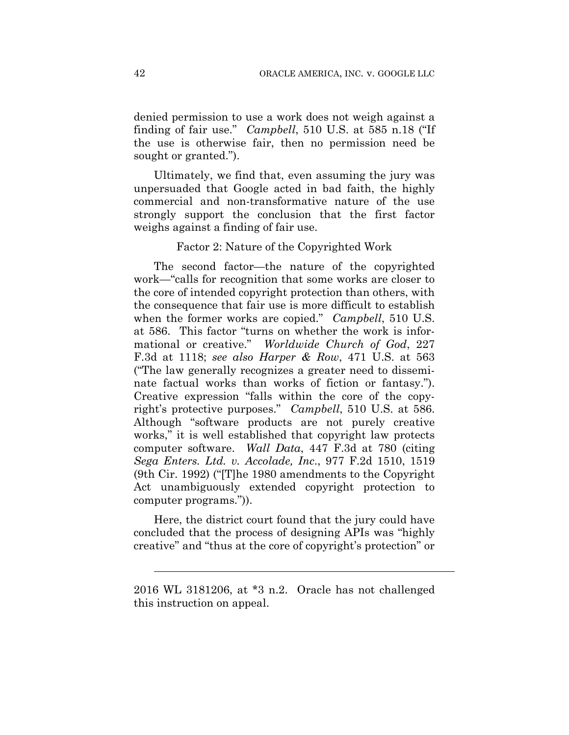denied permission to use a work does not weigh against a finding of fair use." *Campbell*, 510 U.S. at 585 n.18 ("If the use is otherwise fair, then no permission need be sought or granted.").

Ultimately, we find that, even assuming the jury was unpersuaded that Google acted in bad faith, the highly commercial and non-transformative nature of the use strongly support the conclusion that the first factor weighs against a finding of fair use.

#### Factor 2: Nature of the Copyrighted Work

The second factor—the nature of the copyrighted work—"calls for recognition that some works are closer to the core of intended copyright protection than others, with the consequence that fair use is more difficult to establish when the former works are copied." *Campbell*, 510 U.S. at 586. This factor "turns on whether the work is informational or creative." *Worldwide Church of God*, 227 F.3d at 1118; *see also Harper & Row*, 471 U.S. at 563 ("The law generally recognizes a greater need to disseminate factual works than works of fiction or fantasy."). Creative expression "falls within the core of the copyright's protective purposes." *Campbell*, 510 U.S. at 586. Although "software products are not purely creative works," it is well established that copyright law protects computer software. *Wall Data*, 447 F.3d at 780 (citing *Sega Enters. Ltd. v. Accolade, Inc*., 977 F.2d 1510, 1519 (9th Cir. 1992) ("[T]he 1980 amendments to the Copyright Act unambiguously extended copyright protection to computer programs.")).

Here, the district court found that the jury could have concluded that the process of designing APIs was "highly creative" and "thus at the core of copyright's protection" or

l

<sup>2016</sup> WL 3181206, at \*3 n.2. Oracle has not challenged this instruction on appeal.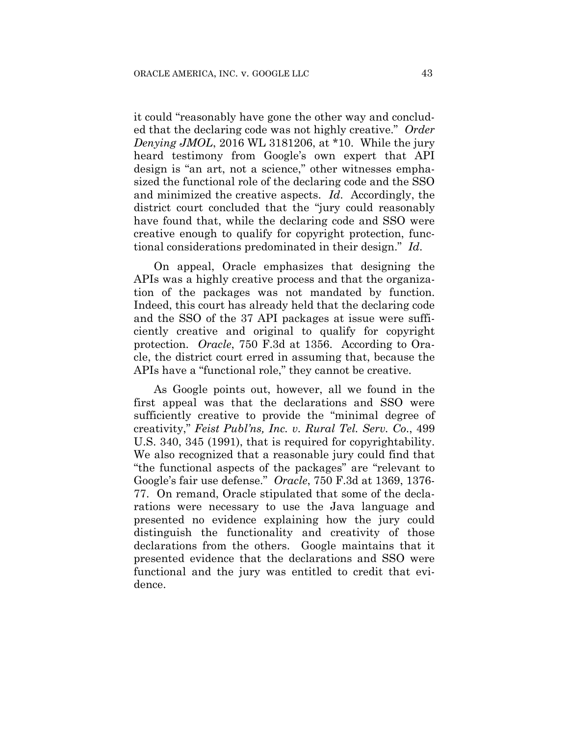it could "reasonably have gone the other way and concluded that the declaring code was not highly creative." *Order Denying JMOL*, 2016 WL 3181206, at \*10. While the jury heard testimony from Google's own expert that API design is "an art, not a science," other witnesses emphasized the functional role of the declaring code and the SSO and minimized the creative aspects. *Id*. Accordingly, the district court concluded that the "jury could reasonably have found that, while the declaring code and SSO were creative enough to qualify for copyright protection, functional considerations predominated in their design." *Id*.

On appeal, Oracle emphasizes that designing the APIs was a highly creative process and that the organization of the packages was not mandated by function. Indeed, this court has already held that the declaring code and the SSO of the 37 API packages at issue were sufficiently creative and original to qualify for copyright protection. *Oracle*, 750 F.3d at 1356. According to Oracle, the district court erred in assuming that, because the APIs have a "functional role," they cannot be creative.

As Google points out, however, all we found in the first appeal was that the declarations and SSO were sufficiently creative to provide the "minimal degree of creativity," *Feist Publ'ns, Inc. v. Rural Tel. Serv. Co*., 499 U.S. 340, 345 (1991), that is required for copyrightability. We also recognized that a reasonable jury could find that "the functional aspects of the packages" are "relevant to Google's fair use defense." *Oracle*, 750 F.3d at 1369, 1376- 77. On remand, Oracle stipulated that some of the declarations were necessary to use the Java language and presented no evidence explaining how the jury could distinguish the functionality and creativity of those declarations from the others. Google maintains that it presented evidence that the declarations and SSO were functional and the jury was entitled to credit that evidence.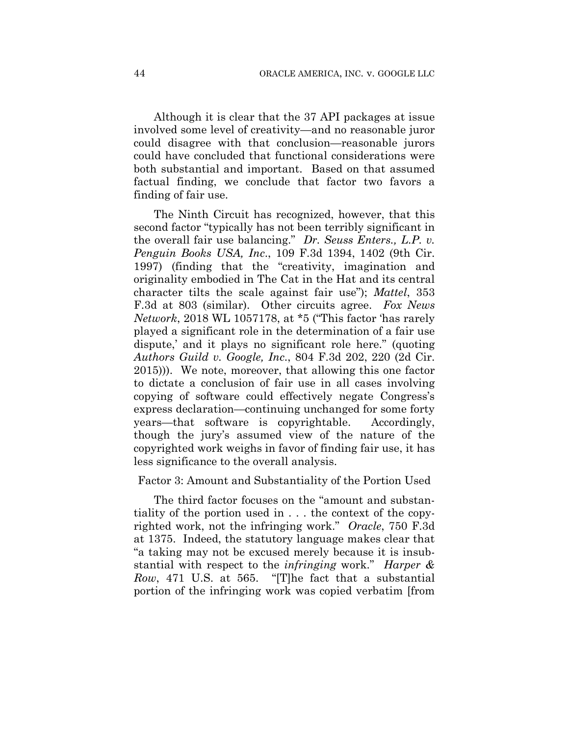Although it is clear that the 37 API packages at issue involved some level of creativity—and no reasonable juror could disagree with that conclusion—reasonable jurors could have concluded that functional considerations were both substantial and important. Based on that assumed factual finding, we conclude that factor two favors a finding of fair use.

The Ninth Circuit has recognized, however, that this second factor "typically has not been terribly significant in the overall fair use balancing." *Dr. Seuss Enters., L.P. v. Penguin Books USA, Inc*., 109 F.3d 1394, 1402 (9th Cir. 1997) (finding that the "creativity, imagination and originality embodied in The Cat in the Hat and its central character tilts the scale against fair use"); *Mattel*, 353 F.3d at 803 (similar). Other circuits agree. *Fox News Network*, 2018 WL 1057178, at \*5 ("This factor 'has rarely played a significant role in the determination of a fair use dispute,' and it plays no significant role here." (quoting *Authors Guild v. Google, Inc*., 804 F.3d 202, 220 (2d Cir. 2015))). We note, moreover, that allowing this one factor to dictate a conclusion of fair use in all cases involving copying of software could effectively negate Congress's express declaration—continuing unchanged for some forty years—that software is copyrightable. Accordingly, though the jury's assumed view of the nature of the copyrighted work weighs in favor of finding fair use, it has less significance to the overall analysis.

## Factor 3: Amount and Substantiality of the Portion Used

The third factor focuses on the "amount and substantiality of the portion used in . . . the context of the copyrighted work, not the infringing work." *Oracle*, 750 F.3d at 1375. Indeed, the statutory language makes clear that "a taking may not be excused merely because it is insubstantial with respect to the *infringing* work." *Harper & Row*, 471 U.S. at 565. "[T]he fact that a substantial portion of the infringing work was copied verbatim [from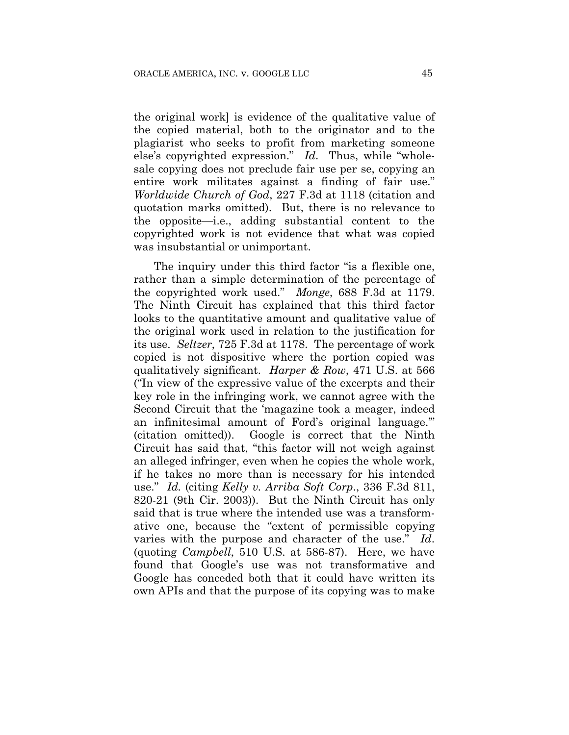the original work] is evidence of the qualitative value of the copied material, both to the originator and to the plagiarist who seeks to profit from marketing someone else's copyrighted expression." *Id*. Thus, while "wholesale copying does not preclude fair use per se, copying an entire work militates against a finding of fair use." *Worldwide Church of God*, 227 F.3d at 1118 (citation and quotation marks omitted). But, there is no relevance to the opposite—i.e., adding substantial content to the copyrighted work is not evidence that what was copied was insubstantial or unimportant.

The inquiry under this third factor "is a flexible one, rather than a simple determination of the percentage of the copyrighted work used." *Monge*, 688 F.3d at 1179. The Ninth Circuit has explained that this third factor looks to the quantitative amount and qualitative value of the original work used in relation to the justification for its use. *Seltzer*, 725 F.3d at 1178. The percentage of work copied is not dispositive where the portion copied was qualitatively significant. *Harper & Row*, 471 U.S. at 566 ("In view of the expressive value of the excerpts and their key role in the infringing work, we cannot agree with the Second Circuit that the 'magazine took a meager, indeed an infinitesimal amount of Ford's original language.'" (citation omitted)). Google is correct that the Ninth Circuit has said that, "this factor will not weigh against an alleged infringer, even when he copies the whole work, if he takes no more than is necessary for his intended use." *Id.* (citing *Kelly v. Arriba Soft Corp*., 336 F.3d 811, 820-21 (9th Cir. 2003)). But the Ninth Circuit has only said that is true where the intended use was a transformative one, because the "extent of permissible copying varies with the purpose and character of the use." *Id*. (quoting *Campbell*, 510 U.S. at 586-87). Here, we have found that Google's use was not transformative and Google has conceded both that it could have written its own APIs and that the purpose of its copying was to make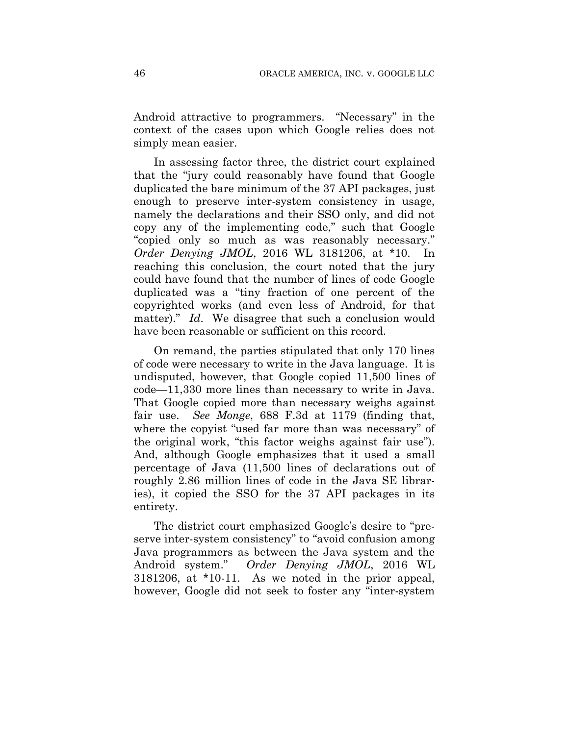Android attractive to programmers. "Necessary" in the context of the cases upon which Google relies does not simply mean easier.

In assessing factor three, the district court explained that the "jury could reasonably have found that Google duplicated the bare minimum of the 37 API packages, just enough to preserve inter-system consistency in usage, namely the declarations and their SSO only, and did not copy any of the implementing code," such that Google "copied only so much as was reasonably necessary." *Order Denying JMOL*, 2016 WL 3181206, at \*10. In reaching this conclusion, the court noted that the jury could have found that the number of lines of code Google duplicated was a "tiny fraction of one percent of the copyrighted works (and even less of Android, for that matter)." *Id*. We disagree that such a conclusion would have been reasonable or sufficient on this record.

On remand, the parties stipulated that only 170 lines of code were necessary to write in the Java language. It is undisputed, however, that Google copied 11,500 lines of code—11,330 more lines than necessary to write in Java. That Google copied more than necessary weighs against fair use. *See Monge*, 688 F.3d at 1179 (finding that, where the copyist "used far more than was necessary" of the original work, "this factor weighs against fair use"). And, although Google emphasizes that it used a small percentage of Java (11,500 lines of declarations out of roughly 2.86 million lines of code in the Java SE libraries), it copied the SSO for the 37 API packages in its entirety.

The district court emphasized Google's desire to "preserve inter-system consistency" to "avoid confusion among Java programmers as between the Java system and the Android system." *Order Denying JMOL*, 2016 WL 3181206, at \*10-11. As we noted in the prior appeal, however, Google did not seek to foster any "inter-system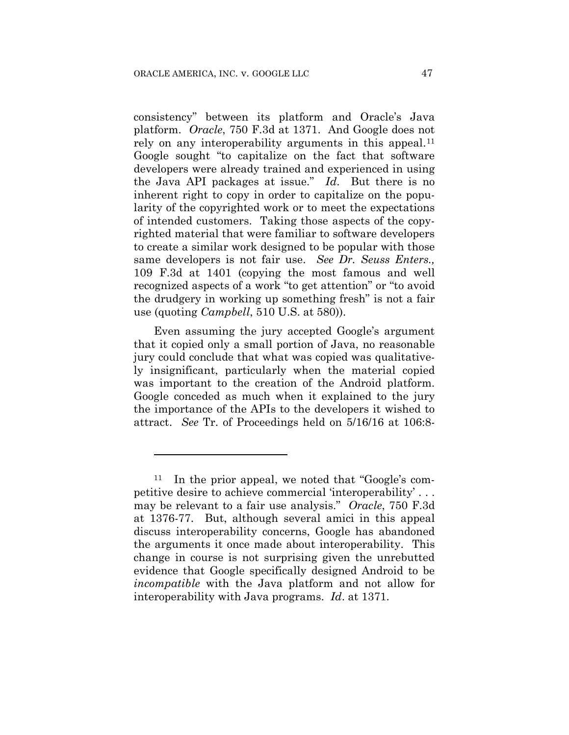1

consistency" between its platform and Oracle's Java platform. *Oracle*, 750 F.3d at 1371. And Google does not rely on any interoperability arguments in this appeal.<sup>11</sup> Google sought "to capitalize on the fact that software developers were already trained and experienced in using the Java API packages at issue." *Id*. But there is no inherent right to copy in order to capitalize on the popularity of the copyrighted work or to meet the expectations of intended customers. Taking those aspects of the copyrighted material that were familiar to software developers to create a similar work designed to be popular with those same developers is not fair use. *See Dr. Seuss Enters.,* 109 F.3d at 1401 (copying the most famous and well recognized aspects of a work "to get attention" or "to avoid the drudgery in working up something fresh" is not a fair use (quoting *Campbell*, 510 U.S. at 580)).

Even assuming the jury accepted Google's argument that it copied only a small portion of Java, no reasonable jury could conclude that what was copied was qualitatively insignificant, particularly when the material copied was important to the creation of the Android platform. Google conceded as much when it explained to the jury the importance of the APIs to the developers it wished to attract. *See* Tr. of Proceedings held on 5/16/16 at 106:8-

<sup>11</sup> In the prior appeal, we noted that "Google's competitive desire to achieve commercial 'interoperability' . . . may be relevant to a fair use analysis." *Oracle*, 750 F.3d at 1376-77. But, although several amici in this appeal discuss interoperability concerns, Google has abandoned the arguments it once made about interoperability. This change in course is not surprising given the unrebutted evidence that Google specifically designed Android to be *incompatible* with the Java platform and not allow for interoperability with Java programs. *Id*. at 1371.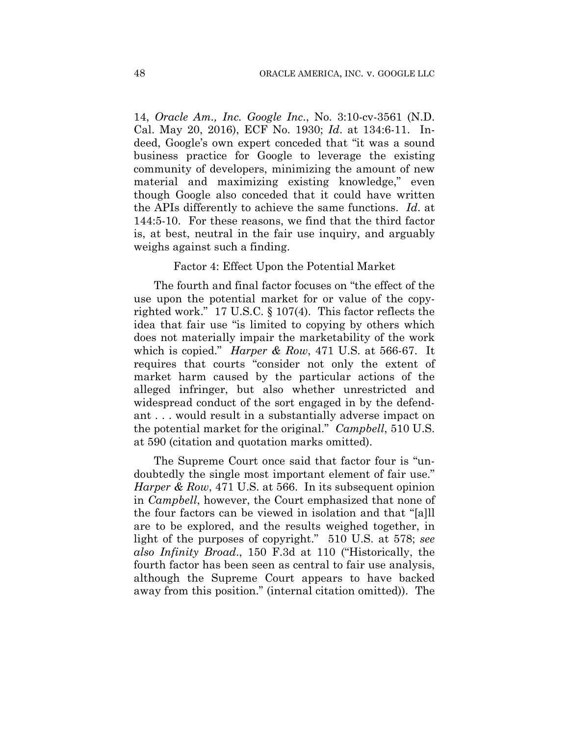14, *Oracle Am., Inc. Google Inc*., No. 3:10-cv-3561 (N.D. Cal. May 20, 2016), ECF No. 1930; *Id*. at 134:6-11. Indeed, Google's own expert conceded that "it was a sound business practice for Google to leverage the existing community of developers, minimizing the amount of new material and maximizing existing knowledge," even though Google also conceded that it could have written the APIs differently to achieve the same functions. *Id*. at 144:5-10. For these reasons, we find that the third factor is, at best, neutral in the fair use inquiry, and arguably weighs against such a finding.

#### Factor 4: Effect Upon the Potential Market

The fourth and final factor focuses on "the effect of the use upon the potential market for or value of the copyrighted work." 17 U.S.C. § 107(4). This factor reflects the idea that fair use "is limited to copying by others which does not materially impair the marketability of the work which is copied." *Harper & Row*, 471 U.S. at 566-67. It requires that courts "consider not only the extent of market harm caused by the particular actions of the alleged infringer, but also whether unrestricted and widespread conduct of the sort engaged in by the defendant . . . would result in a substantially adverse impact on the potential market for the original." *Campbell*, 510 U.S. at 590 (citation and quotation marks omitted).

The Supreme Court once said that factor four is "undoubtedly the single most important element of fair use." *Harper & Row*, 471 U.S. at 566. In its subsequent opinion in *Campbell*, however, the Court emphasized that none of the four factors can be viewed in isolation and that "[a]ll are to be explored, and the results weighed together, in light of the purposes of copyright." 510 U.S. at 578; *see also Infinity Broad*., 150 F.3d at 110 ("Historically, the fourth factor has been seen as central to fair use analysis, although the Supreme Court appears to have backed away from this position." (internal citation omitted)). The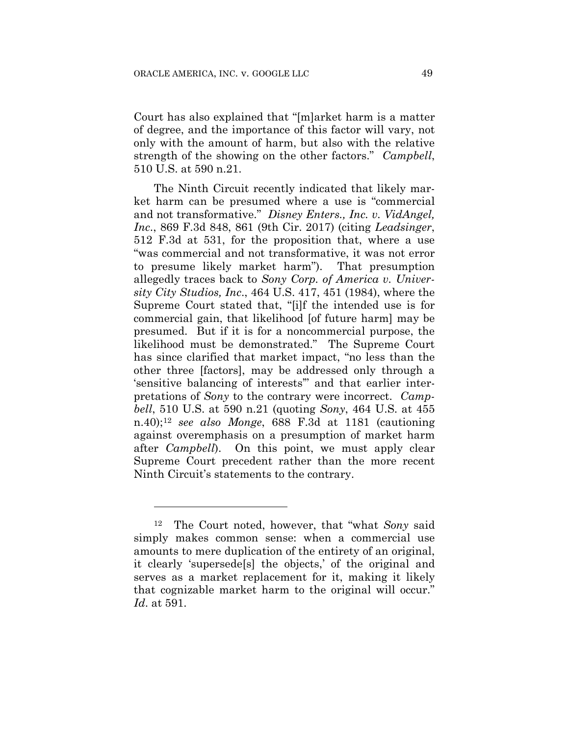Court has also explained that "[m]arket harm is a matter of degree, and the importance of this factor will vary, not only with the amount of harm, but also with the relative strength of the showing on the other factors." *Campbell*, 510 U.S. at 590 n.21.

The Ninth Circuit recently indicated that likely market harm can be presumed where a use is "commercial and not transformative." *Disney Enters., Inc. v. VidAngel, Inc*., 869 F.3d 848, 861 (9th Cir. 2017) (citing *Leadsinger*, 512 F.3d at 531, for the proposition that, where a use "was commercial and not transformative, it was not error to presume likely market harm"). That presumption allegedly traces back to *Sony Corp. of America v. University City Studios, Inc*., 464 U.S. 417, 451 (1984), where the Supreme Court stated that, "[i]f the intended use is for commercial gain, that likelihood [of future harm] may be presumed. But if it is for a noncommercial purpose, the likelihood must be demonstrated." The Supreme Court has since clarified that market impact, "no less than the other three [factors], may be addressed only through a 'sensitive balancing of interests'" and that earlier interpretations of *Sony* to the contrary were incorrect. *Campbell*, 510 U.S. at 590 n.21 (quoting *Sony*, 464 U.S. at 455 n.40);12 *see also Monge*, 688 F.3d at 1181 (cautioning against overemphasis on a presumption of market harm after *Campbell*). On this point, we must apply clear Supreme Court precedent rather than the more recent Ninth Circuit's statements to the contrary.

<u>.</u>

The Court noted, however, that "what *Sony* said simply makes common sense: when a commercial use amounts to mere duplication of the entirety of an original, it clearly 'supersede[s] the objects,' of the original and serves as a market replacement for it, making it likely that cognizable market harm to the original will occur." *Id*. at 591.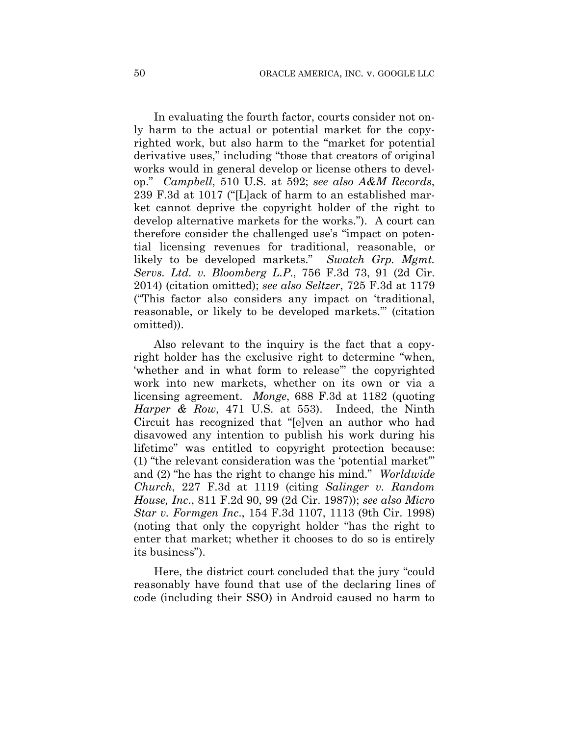In evaluating the fourth factor, courts consider not only harm to the actual or potential market for the copyrighted work, but also harm to the "market for potential derivative uses," including "those that creators of original works would in general develop or license others to develop." *Campbell*, 510 U.S. at 592; *see also A&M Records*, 239 F.3d at 1017 ("[L]ack of harm to an established market cannot deprive the copyright holder of the right to develop alternative markets for the works."). A court can therefore consider the challenged use's "impact on potential licensing revenues for traditional, reasonable, or likely to be developed markets." *Swatch Grp. Mgmt. Servs. Ltd. v. Bloomberg L.P*., 756 F.3d 73, 91 (2d Cir. 2014) (citation omitted); *see also Seltzer*, 725 F.3d at 1179 ("This factor also considers any impact on 'traditional, reasonable, or likely to be developed markets.'" (citation omitted)).

Also relevant to the inquiry is the fact that a copyright holder has the exclusive right to determine "when, 'whether and in what form to release'" the copyrighted work into new markets, whether on its own or via a licensing agreement. *Monge*, 688 F.3d at 1182 (quoting *Harper & Row*, 471 U.S. at 553). Indeed, the Ninth Circuit has recognized that "[e]ven an author who had disavowed any intention to publish his work during his lifetime" was entitled to copyright protection because: (1) "the relevant consideration was the 'potential market'" and (2) "he has the right to change his mind." *Worldwide Church*, 227 F.3d at 1119 (citing *Salinger v. Random House, Inc*., 811 F.2d 90, 99 (2d Cir. 1987)); *see also Micro Star v. Formgen Inc*., 154 F.3d 1107, 1113 (9th Cir. 1998) (noting that only the copyright holder "has the right to enter that market; whether it chooses to do so is entirely its business").

Here, the district court concluded that the jury "could reasonably have found that use of the declaring lines of code (including their SSO) in Android caused no harm to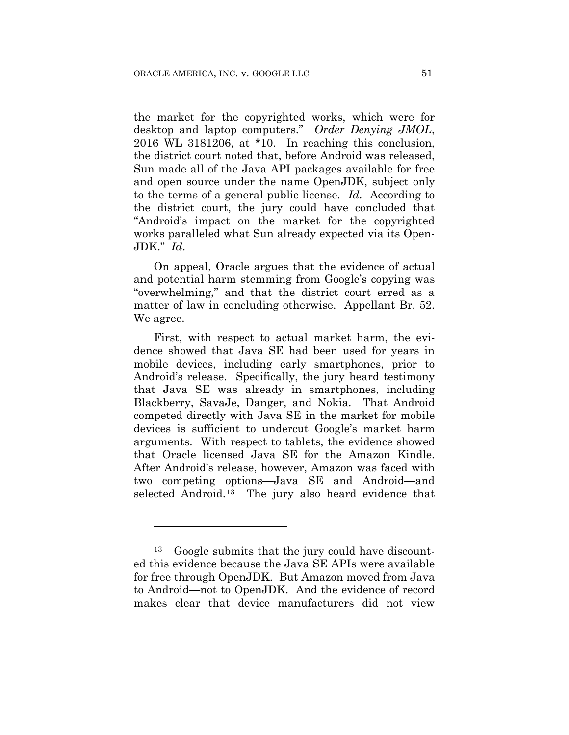the market for the copyrighted works, which were for desktop and laptop computers." *Order Denying JMOL*, 2016 WL 3181206, at \*10. In reaching this conclusion, the district court noted that, before Android was released, Sun made all of the Java API packages available for free and open source under the name OpenJDK, subject only to the terms of a general public license. *Id.* According to the district court, the jury could have concluded that "Android's impact on the market for the copyrighted works paralleled what Sun already expected via its Open-JDK." *Id*.

On appeal, Oracle argues that the evidence of actual and potential harm stemming from Google's copying was "overwhelming," and that the district court erred as a matter of law in concluding otherwise. Appellant Br. 52. We agree.

First, with respect to actual market harm, the evidence showed that Java SE had been used for years in mobile devices, including early smartphones, prior to Android's release. Specifically, the jury heard testimony that Java SE was already in smartphones, including Blackberry, SavaJe, Danger, and Nokia. That Android competed directly with Java SE in the market for mobile devices is sufficient to undercut Google's market harm arguments. With respect to tablets, the evidence showed that Oracle licensed Java SE for the Amazon Kindle. After Android's release, however, Amazon was faced with two competing options—Java SE and Android—and selected Android.13 The jury also heard evidence that

<u>.</u>

<sup>13</sup> Google submits that the jury could have discounted this evidence because the Java SE APIs were available for free through OpenJDK. But Amazon moved from Java to Android—not to OpenJDK. And the evidence of record makes clear that device manufacturers did not view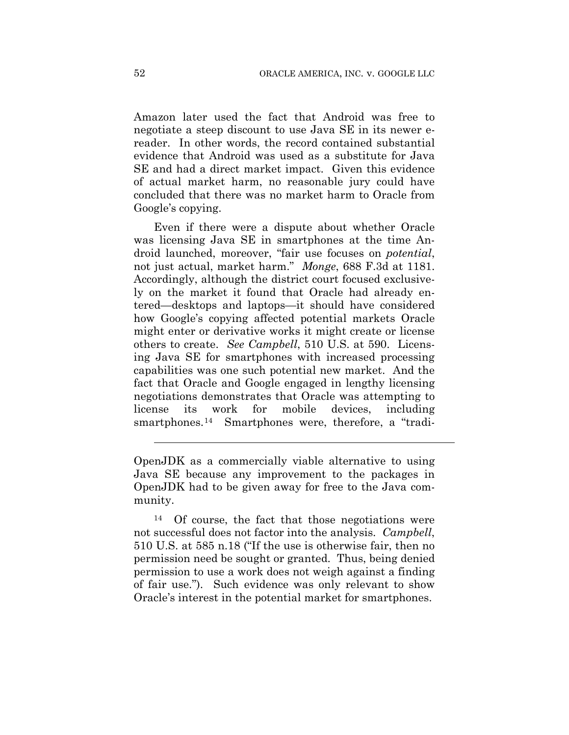Amazon later used the fact that Android was free to negotiate a steep discount to use Java SE in its newer ereader. In other words, the record contained substantial evidence that Android was used as a substitute for Java SE and had a direct market impact.Given this evidence of actual market harm, no reasonable jury could have concluded that there was no market harm to Oracle from Google's copying.

Even if there were a dispute about whether Oracle was licensing Java SE in smartphones at the time Android launched, moreover, "fair use focuses on *potential*, not just actual, market harm." *Monge*, 688 F.3d at 1181. Accordingly, although the district court focused exclusively on the market it found that Oracle had already entered—desktops and laptops—it should have considered how Google's copying affected potential markets Oracle might enter or derivative works it might create or license others to create. *See Campbell*, 510 U.S. at 590. Licensing Java SE for smartphones with increased processing capabilities was one such potential new market. And the fact that Oracle and Google engaged in lengthy licensing negotiations demonstrates that Oracle was attempting to license its work for mobile devices, including smartphones.<sup>14</sup> Smartphones were, therefore, a "tradi-

14 Of course, the fact that those negotiations were not successful does not factor into the analysis. *Campbell*, 510 U.S. at 585 n.18 ("If the use is otherwise fair, then no permission need be sought or granted. Thus, being denied permission to use a work does not weigh against a finding of fair use."). Such evidence was only relevant to show Oracle's interest in the potential market for smartphones.

 $\overline{a}$ 

OpenJDK as a commercially viable alternative to using Java SE because any improvement to the packages in OpenJDK had to be given away for free to the Java community.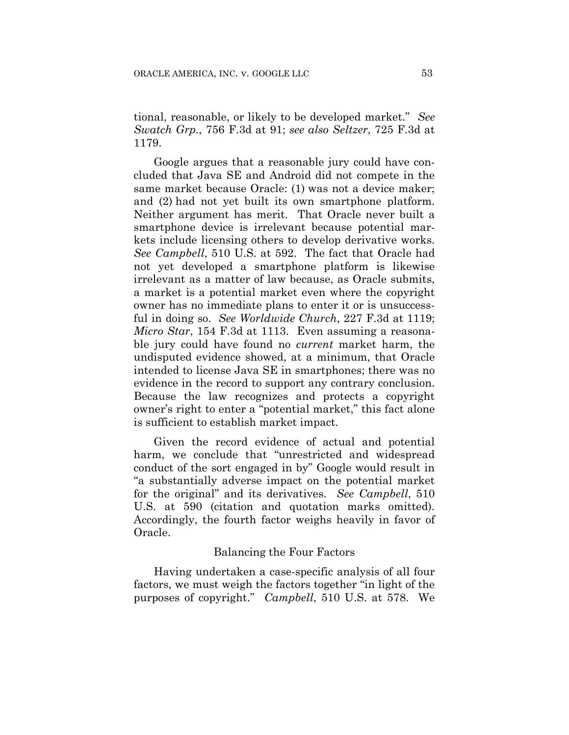tional, reasonable, or likely to be developed market." *See Swatch Grp.*, 756 F.3d at 91; *see also Seltzer*, 725 F.3d at 1179.

Google argues that a reasonable jury could have concluded that Java SE and Android did not compete in the same market because Oracle: (1) was not a device maker; and (2) had not yet built its own smartphone platform. Neither argument has merit. That Oracle never built a smartphone device is irrelevant because potential markets include licensing others to develop derivative works. *See Campbell*, 510 U.S. at 592. The fact that Oracle had not yet developed a smartphone platform is likewise irrelevant as a matter of law because, as Oracle submits, a market is a potential market even where the copyright owner has no immediate plans to enter it or is unsuccessful in doing so. *See Worldwide Church*, 227 F.3d at 1119; *Micro Star*, 154 F.3d at 1113. Even assuming a reasonable jury could have found no *current* market harm, the undisputed evidence showed, at a minimum, that Oracle intended to license Java SE in smartphones; there was no evidence in the record to support any contrary conclusion. Because the law recognizes and protects a copyright owner's right to enter a "potential market," this fact alone is sufficient to establish market impact.

Given the record evidence of actual and potential harm, we conclude that "unrestricted and widespread conduct of the sort engaged in by" Google would result in "a substantially adverse impact on the potential market for the original" and its derivatives. *See Campbell*, 510 U.S. at 590 (citation and quotation marks omitted). Accordingly, the fourth factor weighs heavily in favor of Oracle.

#### Balancing the Four Factors

Having undertaken a case-specific analysis of all four factors, we must weigh the factors together "in light of the purposes of copyright." *Campbell*, 510 U.S. at 578. We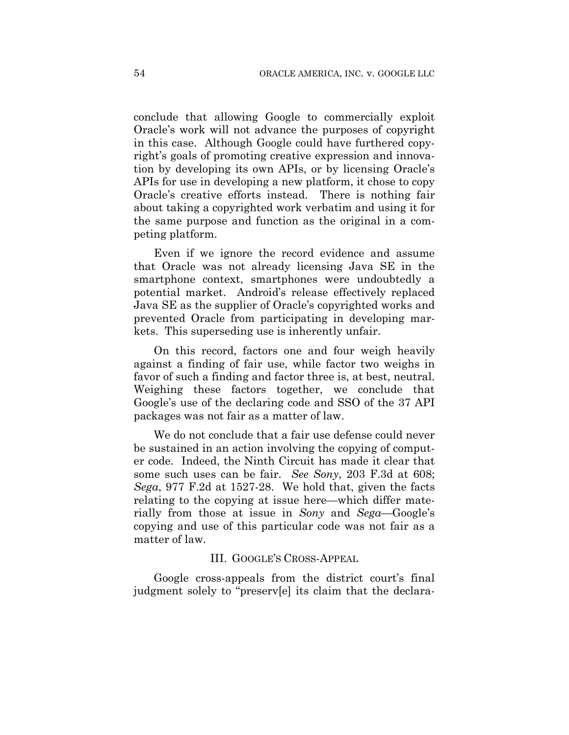conclude that allowing Google to commercially exploit Oracle's work will not advance the purposes of copyright in this case. Although Google could have furthered copyright's goals of promoting creative expression and innovation by developing its own APIs, or by licensing Oracle's APIs for use in developing a new platform, it chose to copy Oracle's creative efforts instead. There is nothing fair about taking a copyrighted work verbatim and using it for the same purpose and function as the original in a competing platform.

Even if we ignore the record evidence and assume that Oracle was not already licensing Java SE in the smartphone context, smartphones were undoubtedly a potential market. Android's release effectively replaced Java SE as the supplier of Oracle's copyrighted works and prevented Oracle from participating in developing markets. This superseding use is inherently unfair.

On this record, factors one and four weigh heavily against a finding of fair use, while factor two weighs in favor of such a finding and factor three is, at best, neutral. Weighing these factors together, we conclude that Google's use of the declaring code and SSO of the 37 API packages was not fair as a matter of law.

We do not conclude that a fair use defense could never be sustained in an action involving the copying of computer code. Indeed, the Ninth Circuit has made it clear that some such uses can be fair. *See Sony*, 203 F.3d at 608; *Sega*, 977 F.2d at 1527-28. We hold that, given the facts relating to the copying at issue here—which differ materially from those at issue in *Sony* and *Sega*—Google's copying and use of this particular code was not fair as a matter of law.

### III. GOOGLE'S CROSS-APPEAL

Google cross-appeals from the district court's final judgment solely to "preserv[e] its claim that the declara-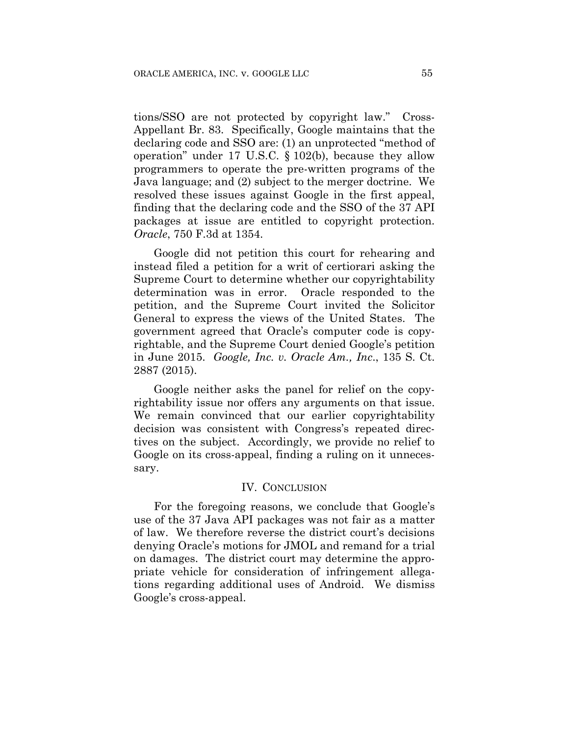tions/SSO are not protected by copyright law." Cross-Appellant Br. 83. Specifically, Google maintains that the declaring code and SSO are: (1) an unprotected "method of operation" under 17 U.S.C. § 102(b), because they allow programmers to operate the pre-written programs of the Java language; and (2) subject to the merger doctrine. We resolved these issues against Google in the first appeal, finding that the declaring code and the SSO of the 37 API packages at issue are entitled to copyright protection. *Oracle*, 750 F.3d at 1354.

Google did not petition this court for rehearing and instead filed a petition for a writ of certiorari asking the Supreme Court to determine whether our copyrightability determination was in error. Oracle responded to the petition, and the Supreme Court invited the Solicitor General to express the views of the United States. The government agreed that Oracle's computer code is copyrightable, and the Supreme Court denied Google's petition in June 2015. *Google, Inc. v. Oracle Am., Inc*., 135 S. Ct. 2887 (2015).

Google neither asks the panel for relief on the copyrightability issue nor offers any arguments on that issue. We remain convinced that our earlier copyrightability decision was consistent with Congress's repeated directives on the subject. Accordingly, we provide no relief to Google on its cross-appeal, finding a ruling on it unnecessary.

# IV. CONCLUSION

For the foregoing reasons, we conclude that Google's use of the 37 Java API packages was not fair as a matter of law. We therefore reverse the district court's decisions denying Oracle's motions for JMOL and remand for a trial on damages. The district court may determine the appropriate vehicle for consideration of infringement allegations regarding additional uses of Android. We dismiss Google's cross-appeal.